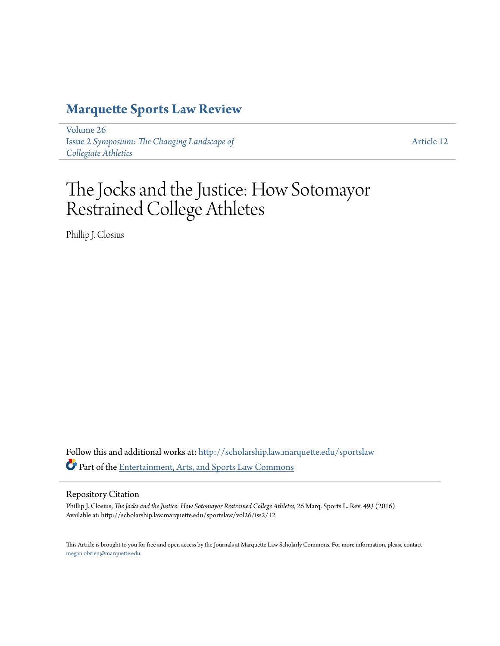# **[Marquette Sports Law Review](http://scholarship.law.marquette.edu/sportslaw?utm_source=scholarship.law.marquette.edu%2Fsportslaw%2Fvol26%2Fiss2%2F12&utm_medium=PDF&utm_campaign=PDFCoverPages)**

[Volume 26](http://scholarship.law.marquette.edu/sportslaw/vol26?utm_source=scholarship.law.marquette.edu%2Fsportslaw%2Fvol26%2Fiss2%2F12&utm_medium=PDF&utm_campaign=PDFCoverPages) Issue 2 *[Symposium: The Changing Landscape of](http://scholarship.law.marquette.edu/sportslaw/vol26/iss2?utm_source=scholarship.law.marquette.edu%2Fsportslaw%2Fvol26%2Fiss2%2F12&utm_medium=PDF&utm_campaign=PDFCoverPages) [Collegiate Athletics](http://scholarship.law.marquette.edu/sportslaw/vol26/iss2?utm_source=scholarship.law.marquette.edu%2Fsportslaw%2Fvol26%2Fiss2%2F12&utm_medium=PDF&utm_campaign=PDFCoverPages)*

[Article 12](http://scholarship.law.marquette.edu/sportslaw/vol26/iss2/12?utm_source=scholarship.law.marquette.edu%2Fsportslaw%2Fvol26%2Fiss2%2F12&utm_medium=PDF&utm_campaign=PDFCoverPages)

# The Jocks and the Justice: How Sotomayor Restrained College Athletes

Phillip J. Closius

Follow this and additional works at: [http://scholarship.law.marquette.edu/sportslaw](http://scholarship.law.marquette.edu/sportslaw?utm_source=scholarship.law.marquette.edu%2Fsportslaw%2Fvol26%2Fiss2%2F12&utm_medium=PDF&utm_campaign=PDFCoverPages) Part of the [Entertainment, Arts, and Sports Law Commons](http://network.bepress.com/hgg/discipline/893?utm_source=scholarship.law.marquette.edu%2Fsportslaw%2Fvol26%2Fiss2%2F12&utm_medium=PDF&utm_campaign=PDFCoverPages)

#### Repository Citation

Phillip J. Closius, *The Jocks and the Justice: How Sotomayor Restrained College Athletes*, 26 Marq. Sports L. Rev. 493 (2016) Available at: http://scholarship.law.marquette.edu/sportslaw/vol26/iss2/12

This Article is brought to you for free and open access by the Journals at Marquette Law Scholarly Commons. For more information, please contact [megan.obrien@marquette.edu.](mailto:megan.obrien@marquette.edu)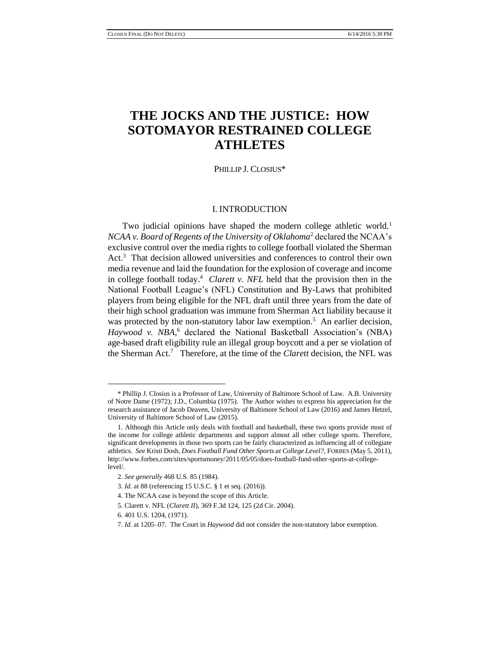# **THE JOCKS AND THE JUSTICE: HOW SOTOMAYOR RESTRAINED COLLEGE ATHLETES**

PHILLIP J. CLOSIUS\*

#### I. INTRODUCTION

Two judicial opinions have shaped the modern college athletic world.<sup>1</sup> *NCAA v. Board of Regents of the University of Oklahoma*<sup>2</sup> declared the NCAA's exclusive control over the media rights to college football violated the Sherman Act. 3 That decision allowed universities and conferences to control their own media revenue and laid the foundation for the explosion of coverage and income in college football today.<sup>4</sup> *Clarett v. NFL* held that the provision then in the National Football League's (NFL) Constitution and By-Laws that prohibited players from being eligible for the NFL draft until three years from the date of their high school graduation was immune from Sherman Act liability because it was protected by the non-statutory labor law exemption.<sup>5</sup> An earlier decision, *Haywood v. NBA,* <sup>6</sup> declared the National Basketball Association's (NBA) age-based draft eligibility rule an illegal group boycott and a per se violation of the Sherman Act.<sup>7</sup> Therefore, at the time of the *Clarett* decision, the NFL was

<sup>\*</sup> Phillip J. Closius is a Professor of Law, University of Baltimore School of Law. A.B. University of Notre Dame (1972); J.D., Columbia (1975). The Author wishes to express his appreciation for the research assistance of Jacob Deaven, University of Baltimore School of Law (2016) and James Hetzel, University of Baltimore School of Law (2015).

<sup>1.</sup> Although this Article only deals with football and basketball, these two sports provide most of the income for college athletic departments and support almost all other college sports. Therefore, significant developments in those two sports can be fairly characterized as influencing all of collegiate athletics. *See* Kristi Dosh, *Does Football Fund Other Sports at College Level?*, FORBES (May 5, 2011), http://www.forbes.com/sites/sportsmoney/2011/05/05/does-football-fund-other-sports-at-collegelevel/.

<sup>2.</sup> *See generally* 468 U.S. 85 (1984).

<sup>3.</sup> *Id.* at 88 (referencing 15 U.S.C. § 1 et seq. (2016)).

<sup>4.</sup> The NCAA case is beyond the scope of this Article.

<sup>5.</sup> Clarett v. NFL (*Clarett II*), 369 F.3d 124, 125 (2d Cir. 2004).

<sup>6. 401</sup> U.S. 1204, (1971).

<sup>7.</sup> *Id.* at 1205–07. The Court in *Haywood* did not consider the non-statutory labor exemption.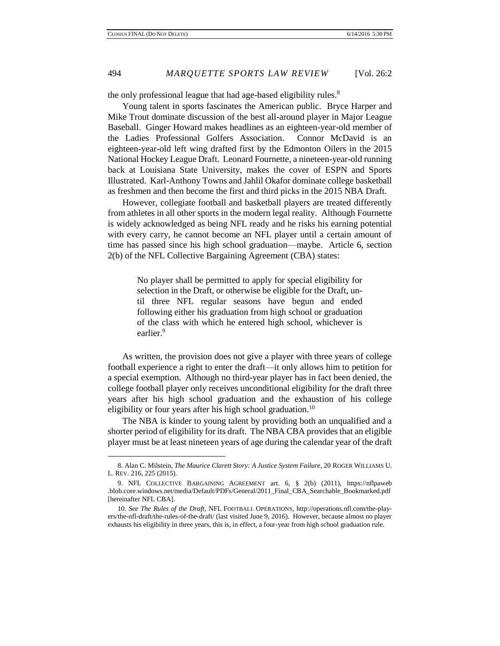the only professional league that had age-based eligibility rules.<sup>8</sup>

Young talent in sports fascinates the American public. Bryce Harper and Mike Trout dominate discussion of the best all-around player in Major League Baseball. Ginger Howard makes headlines as an eighteen-year-old member of the Ladies Professional Golfers Association. Connor McDavid is an eighteen-year-old left wing drafted first by the Edmonton Oilers in the 2015 National Hockey League Draft. Leonard Fournette, a nineteen-year-old running back at Louisiana State University, makes the cover of ESPN and Sports Illustrated. Karl-Anthony Towns and Jahlil Okafor dominate college basketball as freshmen and then become the first and third picks in the 2015 NBA Draft.

However, collegiate football and basketball players are treated differently from athletes in all other sports in the modern legal reality. Although Fournette is widely acknowledged as being NFL ready and he risks his earning potential with every carry, he cannot become an NFL player until a certain amount of time has passed since his high school graduation—maybe. Article 6, section 2(b) of the NFL Collective Bargaining Agreement (CBA) states:

> No player shall be permitted to apply for special eligibility for selection in the Draft, or otherwise be eligible for the Draft, until three NFL regular seasons have begun and ended following either his graduation from high school or graduation of the class with which he entered high school, whichever is earlier.<sup>9</sup>

As written, the provision does not give a player with three years of college football experience a right to enter the draft—it only allows him to petition for a special exemption. Although no third-year player has in fact been denied, the college football player only receives unconditional eligibility for the draft three years after his high school graduation and the exhaustion of his college eligibility or four years after his high school graduation.<sup>10</sup>

The NBA is kinder to young talent by providing both an unqualified and a shorter period of eligibility for its draft. The NBA CBA provides that an eligible player must be at least nineteen years of age during the calendar year of the draft

<sup>8.</sup> Alan C. Milstein, *The Maurice Clarett Story: A Justice System Failure*, 20 ROGER WILLIAMS U. L. REV. 216, 225 (2015).

<sup>9.</sup> NFL COLLECTIVE BARGAINING AGREEMENT art. 6, § 2(b) (2011), https://nflpaweb .blob.core.windows.net/media/Default/PDFs/General/2011\_Final\_CBA\_Searchable\_Bookmarked.pdf [hereinafter NFL CBA].

<sup>10.</sup> *See The Rules of the Draft*, NFL FOOTBALL OPERATIONS, http://operations.nfl.com/the-players/the-nfl-draft/the-rules-of-the-draft/ (last visited June 9, 2016). However, because almost no player exhausts his eligibility in three years, this is, in effect, a four-year from high school graduation rule.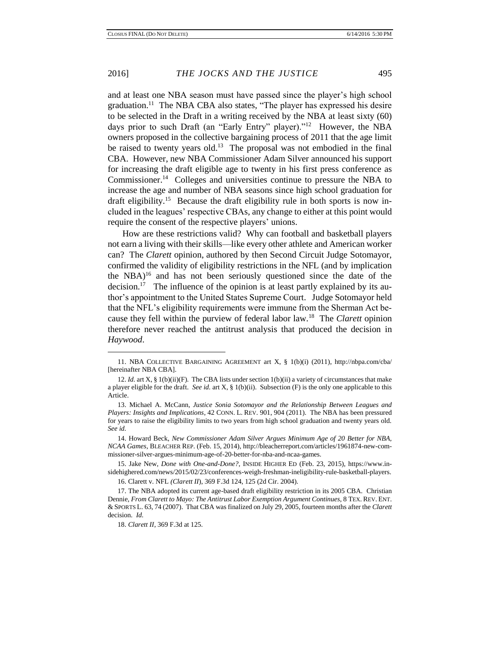and at least one NBA season must have passed since the player's high school graduation.<sup>11</sup> The NBA CBA also states, "The player has expressed his desire to be selected in the Draft in a writing received by the NBA at least sixty (60) days prior to such Draft (an "Early Entry" player)."<sup>12</sup> However, the NBA owners proposed in the collective bargaining process of 2011 that the age limit be raised to twenty years old.<sup>13</sup> The proposal was not embodied in the final CBA. However, new NBA Commissioner Adam Silver announced his support for increasing the draft eligible age to twenty in his first press conference as Commissioner.<sup>14</sup> Colleges and universities continue to pressure the NBA to increase the age and number of NBA seasons since high school graduation for draft eligibility.<sup>15</sup> Because the draft eligibility rule in both sports is now included in the leagues' respective CBAs, any change to either at this point would require the consent of the respective players' unions.

How are these restrictions valid? Why can football and basketball players not earn a living with their skills—like every other athlete and American worker can? The *Clarett* opinion, authored by then Second Circuit Judge Sotomayor, confirmed the validity of eligibility restrictions in the NFL (and by implication the  $NBA$ <sup>16</sup> and has not been seriously questioned since the date of the decision.<sup>17</sup> The influence of the opinion is at least partly explained by its author's appointment to the United States Supreme Court. Judge Sotomayor held that the NFL's eligibility requirements were immune from the Sherman Act because they fell within the purview of federal labor law.<sup>18</sup> The *Clarett* opinion therefore never reached the antitrust analysis that produced the decision in *Haywood*.

15. Jake New, *Done with One-and-Done?*, INSIDE HIGHER ED (Feb. 23, 2015), https://www.insidehighered.com/news/2015/02/23/conferences-weigh-freshman-ineligibility-rule-basketball-players.

16. Clarett v. NFL *(Clarett II*), 369 F.3d 124, 125 (2d Cir. 2004).

17. The NBA adopted its current age-based draft eligibility restriction in its 2005 CBA. Christian Dennie, *From Clarett to Mayo: The Antitrust Labor Exemption Argument Continues*, 8 TEX. REV. ENT. & SPORTS L. 63, 74 (2007). That CBA was finalized on July 29, 2005, fourteen months after the *Clarett* decision. *Id.*

l

<sup>11.</sup> NBA COLLECTIVE BARGAINING AGREEMENT art X, § 1(b)(i) (2011), http://nbpa.com/cba/ [hereinafter NBA CBA].

<sup>12.</sup> *Id.* art X, § 1(b)(ii)(F). The CBA lists under section 1(b)(ii) a variety of circumstances that make a player eligible for the draft. *See id.* art X, § 1(b)(ii). Subsection (F) is the only one applicable to this Article.

<sup>13.</sup> Michael A. McCann, *Justice Sonia Sotomayor and the Relationship Between Leagues and Players: Insights and Implications*, 42 CONN. L. REV. 901, 904 (2011). The NBA has been pressured for years to raise the eligibility limits to two years from high school graduation and twenty years old. *See id.*

<sup>14.</sup> Howard Beck, *New Commissioner Adam Silver Argues Minimum Age of 20 Better for NBA, NCAA Games*, BLEACHER REP. (Feb. 15, 2014), http://bleacherreport.com/articles/1961874-new-commissioner-silver-argues-minimum-age-of-20-better-for-nba-and-ncaa-games.

<sup>18.</sup> *Clarett II*, 369 F.3d at 125.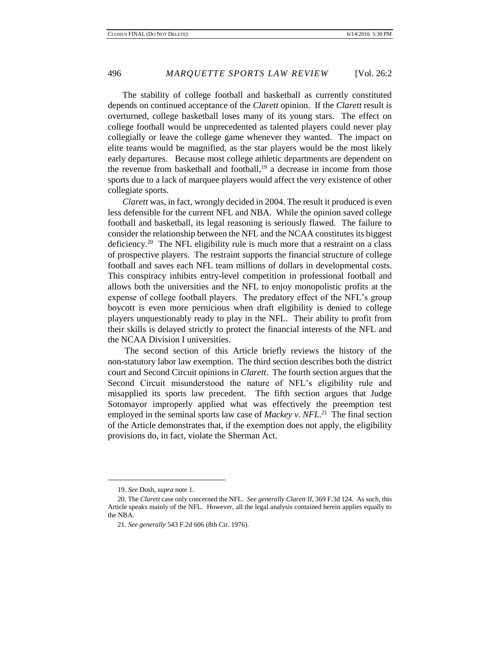The stability of college football and basketball as currently constituted depends on continued acceptance of the *Clarett* opinion. If the *Clarett* result is overturned, college basketball loses many of its young stars. The effect on college football would be unprecedented as talented players could never play collegially or leave the college game whenever they wanted. The impact on elite teams would be magnified, as the star players would be the most likely early departures. Because most college athletic departments are dependent on the revenue from basketball and football,<sup>19</sup> a decrease in income from those sports due to a lack of marquee players would affect the very existence of other collegiate sports.

*Clarett* was, in fact, wrongly decided in 2004. The result it produced is even less defensible for the current NFL and NBA. While the opinion saved college football and basketball, its legal reasoning is seriously flawed. The failure to consider the relationship between the NFL and the NCAA constitutes its biggest deficiency.<sup>20</sup> The NFL eligibility rule is much more that a restraint on a class of prospective players. The restraint supports the financial structure of college football and saves each NFL team millions of dollars in developmental costs. This conspiracy inhibits entry-level competition in professional football and allows both the universities and the NFL to enjoy monopolistic profits at the expense of college football players. The predatory effect of the NFL's group boycott is even more pernicious when draft eligibility is denied to college players unquestionably ready to play in the NFL. Their ability to profit from their skills is delayed strictly to protect the financial interests of the NFL and the NCAA Division I universities.

The second section of this Article briefly reviews the history of the non-statutory labor law exemption. The third section describes both the district court and Second Circuit opinions in *Clarett*. The fourth section argues that the Second Circuit misunderstood the nature of NFL's eligibility rule and misapplied its sports law precedent. The fifth section argues that Judge Sotomayor improperly applied what was effectively the preemption test employed in the seminal sports law case of *Mackey v. NFL*<sup>21</sup> The final section of the Article demonstrates that, if the exemption does not apply, the eligibility provisions do, in fact, violate the Sherman Act.

<sup>19.</sup> *See* Dosh, *supra* note 1.

<sup>20.</sup> The *Clarett* case only concerned the NFL. *See generally Clarett II*, 369 F.3d 124. As such, this Article speaks mainly of the NFL. However, all the legal analysis contained herein applies equally to the NBA.

<sup>21.</sup> *See generally* 543 F.2d 606 (8th Cir. 1976).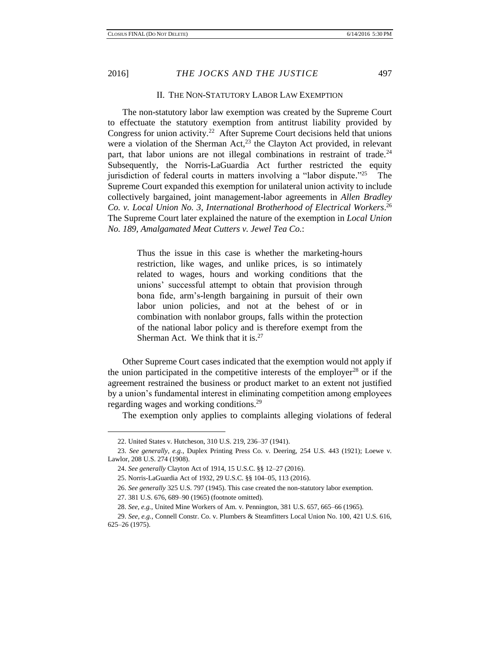$\overline{a}$ 

#### II. THE NON-STATUTORY LABOR LAW EXEMPTION

The non-statutory labor law exemption was created by the Supreme Court to effectuate the statutory exemption from antitrust liability provided by Congress for union activity.<sup>22</sup> After Supreme Court decisions held that unions were a violation of the Sherman Act, $2^3$  the Clayton Act provided, in relevant part, that labor unions are not illegal combinations in restraint of trade.<sup>24</sup> Subsequently, the Norris-LaGuardia Act further restricted the equity jurisdiction of federal courts in matters involving a "labor dispute." 25 The Supreme Court expanded this exemption for unilateral union activity to include collectively bargained, joint management-labor agreements in *Allen Bradley Co. v. Local Union No. 3, International Brotherhood of Electrical Workers*. 26 The Supreme Court later explained the nature of the exemption in *Local Union No. 189, Amalgamated Meat Cutters v. Jewel Tea Co.*:

> Thus the issue in this case is whether the marketing-hours restriction, like wages, and unlike prices, is so intimately related to wages, hours and working conditions that the unions' successful attempt to obtain that provision through bona fide, arm's-length bargaining in pursuit of their own labor union policies, and not at the behest of or in combination with nonlabor groups, falls within the protection of the national labor policy and is therefore exempt from the Sherman Act. We think that it is. $27$

Other Supreme Court cases indicated that the exemption would not apply if the union participated in the competitive interests of the employer<sup>28</sup> or if the agreement restrained the business or product market to an extent not justified by a union's fundamental interest in eliminating competition among employees regarding wages and working conditions.<sup>29</sup>

The exemption only applies to complaints alleging violations of federal

<sup>22.</sup> United States v. Hutcheson, 310 U.S. 219, 236–37 (1941).

<sup>23.</sup> *See generally, e.g.*, Duplex Printing Press Co. v. Deering, 254 U.S. 443 (1921); Loewe v. Lawlor, 208 U.S. 274 (1908).

<sup>24.</sup> *See generally* Clayton Act of 1914, 15 U.S.C. §§ 12–27 (2016).

<sup>25.</sup> Norris-LaGuardia Act of 1932, 29 U.S.C. §§ 104–05, 113 (2016).

<sup>26.</sup> *See generally* 325 U.S. 797 (1945). This case created the non-statutory labor exemption.

<sup>27.</sup> 381 U.S. 676, 689–90 (1965) (footnote omitted).

<sup>28.</sup> *See, e.g.*, United Mine Workers of Am. v. Pennington, 381 U.S. 657, 665–66 (1965).

<sup>29.</sup> *See, e.g.*, Connell Constr. Co. v. Plumbers & Steamfitters Local Union No. 100, 421 U.S. 616, 625–26 (1975).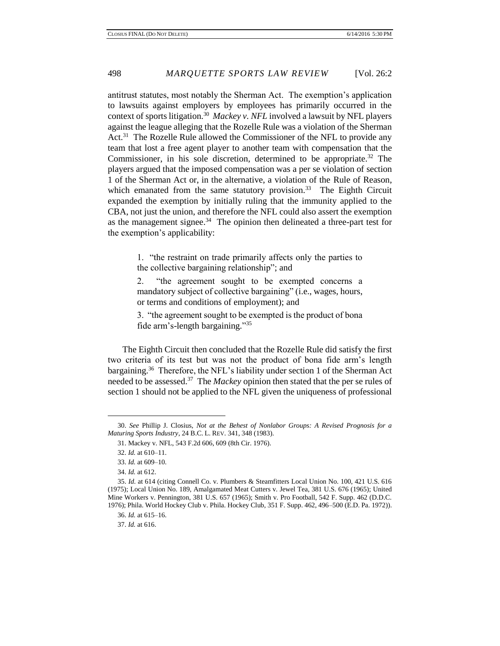antitrust statutes, most notably the Sherman Act. The exemption's application to lawsuits against employers by employees has primarily occurred in the context of sports litigation.<sup>30</sup> Mackey v. NFL involved a lawsuit by NFL players against the league alleging that the Rozelle Rule was a violation of the Sherman Act.<sup>31</sup> The Rozelle Rule allowed the Commissioner of the NFL to provide any team that lost a free agent player to another team with compensation that the Commissioner, in his sole discretion, determined to be appropriate.<sup>32</sup> The players argued that the imposed compensation was a per se violation of section 1 of the Sherman Act or, in the alternative, a violation of the Rule of Reason, which emanated from the same statutory provision.<sup>33</sup> The Eighth Circuit expanded the exemption by initially ruling that the immunity applied to the CBA, not just the union, and therefore the NFL could also assert the exemption as the management signee.<sup>34</sup> The opinion then delineated a three-part test for the exemption's applicability:

> 1. "the restraint on trade primarily affects only the parties to the collective bargaining relationship"; and

> 2. "the agreement sought to be exempted concerns a mandatory subject of collective bargaining" (i.e., wages, hours, or terms and conditions of employment); and

> 3. "the agreement sought to be exempted is the product of bona fide arm's-length bargaining." 35

The Eighth Circuit then concluded that the Rozelle Rule did satisfy the first two criteria of its test but was not the product of bona fide arm's length bargaining.<sup>36</sup> Therefore, the NFL's liability under section 1 of the Sherman Act needed to be assessed.<sup>37</sup> The *Mackey* opinion then stated that the per se rules of section 1 should not be applied to the NFL given the uniqueness of professional

 $\overline{a}$ 

37. *Id.* at 616.

<sup>30.</sup> *See* Phillip J. Closius, *Not at the Behest of Nonlabor Groups: A Revised Prognosis for a Maturing Sports Industry*, 24 B.C. L. REV. 341, 348 (1983).

<sup>31.</sup> Mackey v. NFL, 543 F.2d 606, 609 (8th Cir. 1976).

<sup>32.</sup> *Id.* at 610–11.

<sup>33.</sup> *Id.* at 609–10.

<sup>34.</sup> *Id.* at 612.

<sup>35.</sup> *Id.* at 614 (citing Connell Co. v. Plumbers & Steamfitters Local Union No. 100, 421 U.S. 616 (1975); Local Union No. 189, Amalgamated Meat Cutters v. Jewel Tea, 381 U.S. 676 (1965); United Mine Workers v. Pennington, 381 U.S. 657 (1965); Smith v. Pro Football, 542 F. Supp. 462 (D.D.C. 1976); Phila. World Hockey Club v. Phila. Hockey Club, 351 F. Supp. 462, 496–500 (E.D. Pa. 1972)).

<sup>36.</sup> *Id.* at 615–16.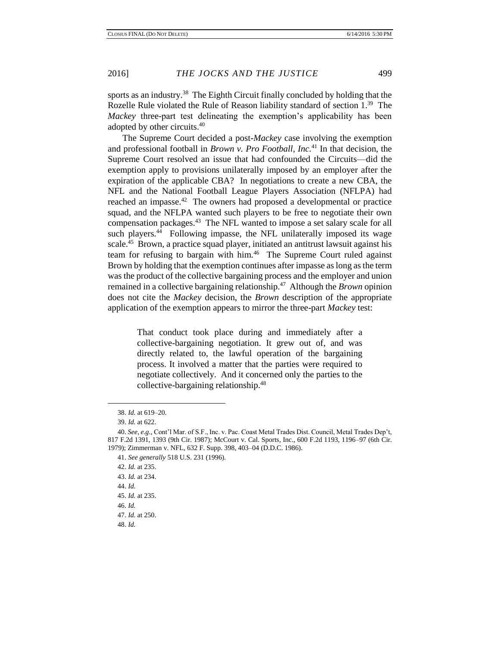sports as an industry.<sup>38</sup> The Eighth Circuit finally concluded by holding that the Rozelle Rule violated the Rule of Reason liability standard of section 1.<sup>39</sup> The *Mackey* three-part test delineating the exemption's applicability has been adopted by other circuits.<sup>40</sup>

The Supreme Court decided a post-*Mackey* case involving the exemption and professional football in *Brown v. Pro Football, Inc.* <sup>41</sup> In that decision, the Supreme Court resolved an issue that had confounded the Circuits—did the exemption apply to provisions unilaterally imposed by an employer after the expiration of the applicable CBA? In negotiations to create a new CBA, the NFL and the National Football League Players Association (NFLPA) had reached an impasse.<sup>42</sup> The owners had proposed a developmental or practice squad, and the NFLPA wanted such players to be free to negotiate their own compensation packages.<sup>43</sup> The NFL wanted to impose a set salary scale for all such players.<sup>44</sup> Following impasse, the NFL unilaterally imposed its wage scale.<sup>45</sup> Brown, a practice squad player, initiated an antitrust lawsuit against his team for refusing to bargain with him.<sup>46</sup> The Supreme Court ruled against Brown by holding that the exemption continues after impasse as long as the term was the product of the collective bargaining process and the employer and union remained in a collective bargaining relationship.<sup>47</sup> Although the *Brown* opinion does not cite the *Mackey* decision, the *Brown* description of the appropriate application of the exemption appears to mirror the three-part *Mackey* test:

> That conduct took place during and immediately after a collective-bargaining negotiation. It grew out of, and was directly related to, the lawful operation of the bargaining process. It involved a matter that the parties were required to negotiate collectively. And it concerned only the parties to the collective-bargaining relationship.<sup>48</sup>

 $\overline{a}$ 

44. *Id.*

<sup>38.</sup> *Id.* at 619–20.

<sup>39.</sup> *Id.* at 622.

<sup>40.</sup> *See, e.g.*, Cont'l Mar. of S.F., Inc. v. Pac. Coast Metal Trades Dist. Council, Metal Trades Dep't, 817 F.2d 1391, 1393 (9th Cir. 1987); McCourt v. Cal. Sports, Inc., 600 F.2d 1193, 1196–97 (6th Cir. 1979); Zimmerman v. NFL, 632 F. Supp. 398, 403–04 (D.D.C. 1986).

<sup>41.</sup> *See generally* 518 U.S. 231 (1996).

<sup>42.</sup> *Id.* at 235.

<sup>43.</sup> *Id.* at 234.

<sup>45.</sup> *Id.* at 235.

<sup>46.</sup> *Id.*

<sup>47.</sup> *Id.* at 250.

<sup>48.</sup> *Id.*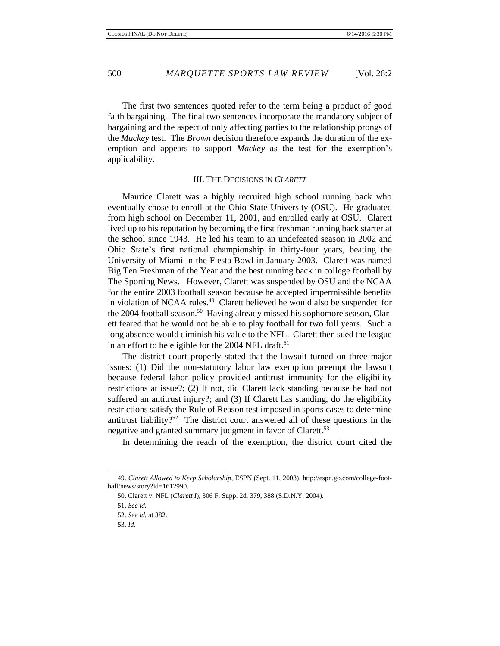The first two sentences quoted refer to the term being a product of good faith bargaining. The final two sentences incorporate the mandatory subject of bargaining and the aspect of only affecting parties to the relationship prongs of the *Mackey* test. The *Brown* decision therefore expands the duration of the exemption and appears to support *Mackey* as the test for the exemption's applicability.

#### III. THE DECISIONS IN *CLARETT*

Maurice Clarett was a highly recruited high school running back who eventually chose to enroll at the Ohio State University (OSU). He graduated from high school on December 11, 2001, and enrolled early at OSU. Clarett lived up to his reputation by becoming the first freshman running back starter at the school since 1943. He led his team to an undefeated season in 2002 and Ohio State's first national championship in thirty-four years, beating the University of Miami in the Fiesta Bowl in January 2003. Clarett was named Big Ten Freshman of the Year and the best running back in college football by The Sporting News. However, Clarett was suspended by OSU and the NCAA for the entire 2003 football season because he accepted impermissible benefits in violation of NCAA rules.<sup>49</sup> Clarett believed he would also be suspended for the 2004 football season.<sup>50</sup> Having already missed his sophomore season, Clarett feared that he would not be able to play football for two full years. Such a long absence would diminish his value to the NFL. Clarett then sued the league in an effort to be eligible for the 2004 NFL draft.<sup>51</sup>

The district court properly stated that the lawsuit turned on three major issues: (1) Did the non-statutory labor law exemption preempt the lawsuit because federal labor policy provided antitrust immunity for the eligibility restrictions at issue?; (2) If not, did Clarett lack standing because he had not suffered an antitrust injury?; and (3) If Clarett has standing, do the eligibility restrictions satisfy the Rule of Reason test imposed in sports cases to determine antitrust liability?<sup>52</sup> The district court answered all of these questions in the negative and granted summary judgment in favor of Clarett.<sup>53</sup>

In determining the reach of the exemption, the district court cited the

<sup>49.</sup> *Clarett Allowed to Keep Scholarship*, ESPN (Sept. 11, 2003), http://espn.go.com/college-football/news/story?id=1612990.

<sup>50.</sup> Clarett v. NFL (*Clarett I*), 306 F. Supp. 2d. 379, 388 (S.D.N.Y. 2004).

<sup>51.</sup> *See id.*

<sup>52.</sup> *See id.* at 382.

<sup>53.</sup> *Id.*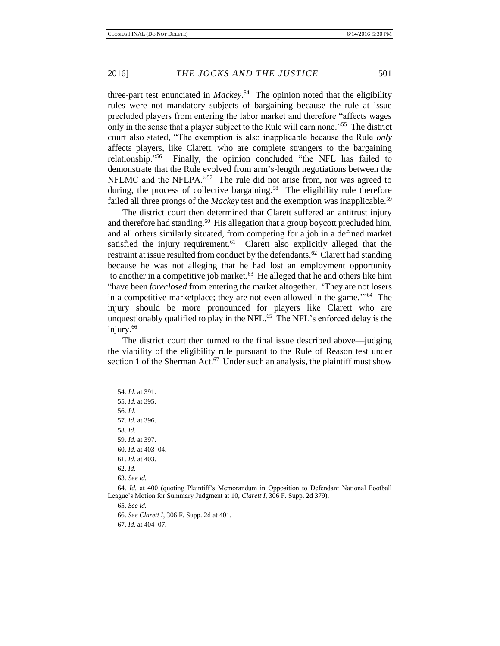three-part test enunciated in *Mackey*. 54 The opinion noted that the eligibility rules were not mandatory subjects of bargaining because the rule at issue precluded players from entering the labor market and therefore "affects wages only in the sense that a player subject to the Rule will earn none."<sup>55</sup> The district court also stated, "The exemption is also inapplicable because the Rule *only*  affects players, like Clarett, who are complete strangers to the bargaining relationship."<sup>56</sup> Finally, the opinion concluded "the NFL has failed to demonstrate that the Rule evolved from arm's-length negotiations between the NFLMC and the NFLPA."<sup>57</sup> The rule did not arise from, nor was agreed to during, the process of collective bargaining.<sup>58</sup> The eligibility rule therefore failed all three prongs of the *Mackey* test and the exemption was inapplicable.<sup>59</sup>

The district court then determined that Clarett suffered an antitrust injury and therefore had standing.<sup>60</sup> His allegation that a group boycott precluded him, and all others similarly situated, from competing for a job in a defined market satisfied the injury requirement.<sup>61</sup> Clarett also explicitly alleged that the restraint at issue resulted from conduct by the defendants.<sup>62</sup> Clarett had standing because he was not alleging that he had lost an employment opportunity to another in a competitive job market.<sup>63</sup> He alleged that he and others like him "have been *foreclosed* from entering the market altogether. 'They are not losers in a competitive marketplace; they are not even allowed in the game."<sup>64</sup> The injury should be more pronounced for players like Clarett who are unquestionably qualified to play in the NFL.<sup>65</sup> The NFL's enforced delay is the injury.<sup>66</sup>

The district court then turned to the final issue described above—judging the viability of the eligibility rule pursuant to the Rule of Reason test under section 1 of the Sherman Act. $67$  Under such an analysis, the plaintiff must show

 $\overline{a}$ 

64. *Id.* at 400 (quoting Plaintiff's Memorandum in Opposition to Defendant National Football League's Motion for Summary Judgment at 10, *Clarett I*, 306 F. Supp. 2d 379).

65. *See id.*

66. *See Clarett I*, 306 F. Supp. 2d at 401.

67. *Id.* at 404–07.

<sup>54.</sup> *Id.* at 391.

<sup>55.</sup> *Id.* at 395.

<sup>56.</sup> *Id.*

<sup>57.</sup> *Id.* at 396.

<sup>58.</sup> *Id.*

<sup>59.</sup> *Id.* at 397.

<sup>60.</sup> *Id.* at 403–04.

<sup>61.</sup> *Id.* at 403.

<sup>62.</sup> *Id.*

<sup>63.</sup> *See id.*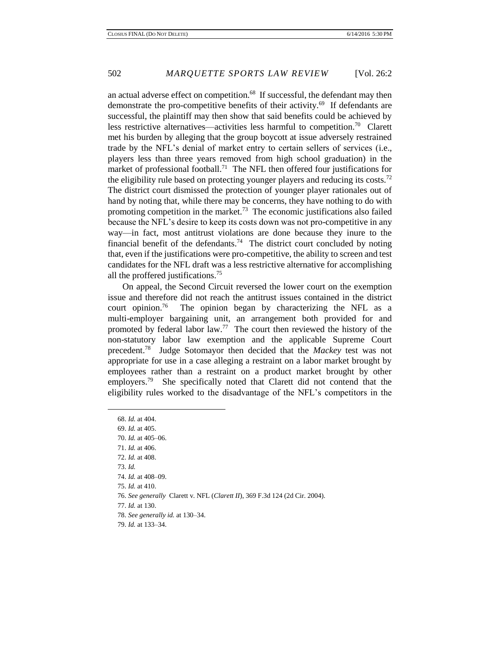an actual adverse effect on competition.<sup>68</sup> If successful, the defendant may then demonstrate the pro-competitive benefits of their activity.<sup>69</sup> If defendants are successful, the plaintiff may then show that said benefits could be achieved by less restrictive alternatives—activities less harmful to competition.<sup>70</sup> Clarett met his burden by alleging that the group boycott at issue adversely restrained trade by the NFL's denial of market entry to certain sellers of services (i.e., players less than three years removed from high school graduation) in the market of professional football.<sup>71</sup> The NFL then offered four justifications for the eligibility rule based on protecting younger players and reducing its costs.<sup>72</sup> The district court dismissed the protection of younger player rationales out of hand by noting that, while there may be concerns, they have nothing to do with promoting competition in the market.<sup>73</sup> The economic justifications also failed because the NFL's desire to keep its costs down was not pro-competitive in any way—in fact, most antitrust violations are done because they inure to the financial benefit of the defendants.<sup>74</sup> The district court concluded by noting that, even if the justifications were pro-competitive, the ability to screen and test candidates for the NFL draft was a less restrictive alternative for accomplishing all the proffered justifications.<sup>75</sup>

On appeal, the Second Circuit reversed the lower court on the exemption issue and therefore did not reach the antitrust issues contained in the district court opinion.<sup>76</sup> The opinion began by characterizing the NFL as a multi-employer bargaining unit, an arrangement both provided for and promoted by federal labor  $law.^{77}$  The court then reviewed the history of the non-statutory labor law exemption and the applicable Supreme Court precedent.<sup>78</sup> Judge Sotomayor then decided that the *Mackey* test was not appropriate for use in a case alleging a restraint on a labor market brought by employees rather than a restraint on a product market brought by other employers.<sup>79</sup> She specifically noted that Clarett did not contend that the eligibility rules worked to the disadvantage of the NFL's competitors in the

68. *Id.* at 404. 69. *Id.* at 405. 70. *Id.* at 405–06. 71. *Id.* at 406. 72. *Id.* at 408. 73. *Id.* 74. *Id.* at 408–09. 75. *Id.* at 410. 76. *See generally* Clarett v. NFL (*Clarett II*), 369 F.3d 124 (2d Cir. 2004). 77. *Id.* at 130. 78. *See generally id.* at 130–34. 79. *Id.* at 133–34.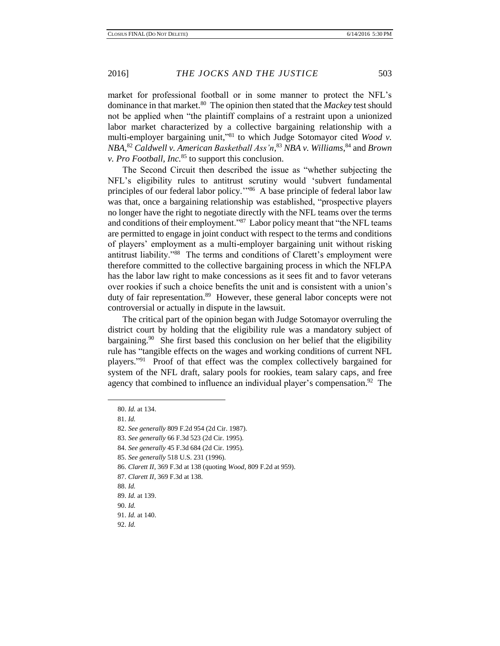market for professional football or in some manner to protect the NFL's dominance in that market.<sup>80</sup> The opinion then stated that the *Mackey* test should not be applied when "the plaintiff complains of a restraint upon a unionized labor market characterized by a collective bargaining relationship with a multi-employer bargaining unit," <sup>81</sup> to which Judge Sotomayor cited *Wood v. NBA*, <sup>82</sup> *Caldwell v. American Basketball Ass'n*, <sup>83</sup> *NBA v. Williams*, <sup>84</sup> and *Brown v. Pro Football, Inc.*<sup>85</sup> to support this conclusion.

The Second Circuit then described the issue as "whether subjecting the NFL's eligibility rules to antitrust scrutiny would 'subvert fundamental principles of our federal labor policy."<sup>86</sup> A base principle of federal labor law was that, once a bargaining relationship was established, "prospective players no longer have the right to negotiate directly with the NFL teams over the terms and conditions of their employment."<sup>87</sup> Labor policy meant that "the NFL teams" are permitted to engage in joint conduct with respect to the terms and conditions of players' employment as a multi-employer bargaining unit without risking antitrust liability."<sup>88</sup> The terms and conditions of Clarett's employment were therefore committed to the collective bargaining process in which the NFLPA has the labor law right to make concessions as it sees fit and to favor veterans over rookies if such a choice benefits the unit and is consistent with a union's duty of fair representation.<sup>89</sup> However, these general labor concepts were not controversial or actually in dispute in the lawsuit.

The critical part of the opinion began with Judge Sotomayor overruling the district court by holding that the eligibility rule was a mandatory subject of bargaining.<sup>90</sup> She first based this conclusion on her belief that the eligibility rule has "tangible effects on the wages and working conditions of current NFL players."<sup>91</sup> Proof of that effect was the complex collectively bargained for system of the NFL draft, salary pools for rookies, team salary caps, and free agency that combined to influence an individual player's compensation.<sup>92</sup> The

- 87. *Clarett II*, 369 F.3d at 138.
- 88. *Id.*

<sup>80.</sup> *Id.* at 134.

<sup>81.</sup> *Id.*

<sup>82.</sup> *See generally* 809 F.2d 954 (2d Cir. 1987).

<sup>83.</sup> *See generally* 66 F.3d 523 (2d Cir. 1995).

<sup>84.</sup> *See generally* 45 F.3d 684 (2d Cir. 1995).

<sup>85.</sup> *See generally* 518 U.S. 231 (1996).

<sup>86.</sup> *Clarett II*, 369 F.3d at 138 (quoting *Wood*, 809 F.2d at 959).

<sup>89.</sup> *Id.* at 139.

<sup>90.</sup> *Id.*

<sup>91.</sup> *Id.* at 140.

<sup>92.</sup> *Id.*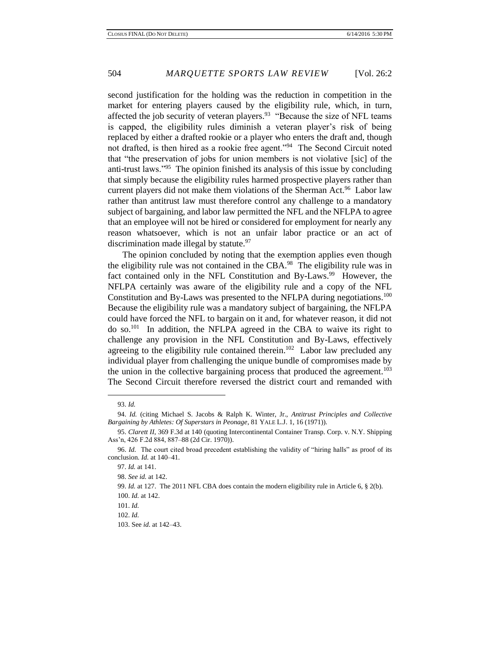second justification for the holding was the reduction in competition in the market for entering players caused by the eligibility rule, which, in turn, affected the job security of veteran players.<sup>93</sup> "Because the size of NFL teams is capped, the eligibility rules diminish a veteran player's risk of being replaced by either a drafted rookie or a player who enters the draft and, though not drafted, is then hired as a rookie free agent."<sup>94</sup> The Second Circuit noted that "the preservation of jobs for union members is not violative [sic] of the anti-trust laws."<sup>95</sup> The opinion finished its analysis of this issue by concluding that simply because the eligibility rules harmed prospective players rather than current players did not make them violations of the Sherman Act.<sup>96</sup> Labor law rather than antitrust law must therefore control any challenge to a mandatory subject of bargaining, and labor law permitted the NFL and the NFLPA to agree that an employee will not be hired or considered for employment for nearly any reason whatsoever, which is not an unfair labor practice or an act of discrimination made illegal by statute. $97$ 

The opinion concluded by noting that the exemption applies even though the eligibility rule was not contained in the CBA. $98$  The eligibility rule was in fact contained only in the NFL Constitution and By-Laws.<sup>99</sup> However, the NFLPA certainly was aware of the eligibility rule and a copy of the NFL Constitution and By-Laws was presented to the NFLPA during negotiations.<sup>100</sup> Because the eligibility rule was a mandatory subject of bargaining, the NFLPA could have forced the NFL to bargain on it and, for whatever reason, it did not do so.<sup>101</sup> In addition, the NFLPA agreed in the CBA to waive its right to challenge any provision in the NFL Constitution and By-Laws, effectively agreeing to the eligibility rule contained therein.<sup>102</sup> Labor law precluded any individual player from challenging the unique bundle of compromises made by the union in the collective bargaining process that produced the agreement.<sup>103</sup> The Second Circuit therefore reversed the district court and remanded with

<sup>93.</sup> *Id.*

<sup>94.</sup> *Id.* (citing Michael S. Jacobs & Ralph K. Winter, Jr., *Antitrust Principles and Collective Bargaining by Athletes: Of Superstars in Peonage*, 81 YALE L.J. 1, 16 (1971)).

<sup>95.</sup> *Clarett II*, 369 F.3d at 140 (quoting Intercontinental Container Transp. Corp. v. N.Y. Shipping Ass'n, 426 F.2d 884, 887–88 (2d Cir. 1970)).

<sup>96.</sup> *Id.* The court cited broad precedent establishing the validity of "hiring halls" as proof of its conclusion. *Id.* at 140–41.

<sup>97.</sup> *Id.* at 141.

<sup>98.</sup> *See id.* at 142.

<sup>99.</sup> *Id.* at 127. The 2011 NFL CBA does contain the modern eligibility rule in Article 6, § 2(b). 100. *Id.* at 142.

<sup>101.</sup> *Id.*

<sup>102.</sup> *Id.*

<sup>103.</sup> See *id.* at 142–43.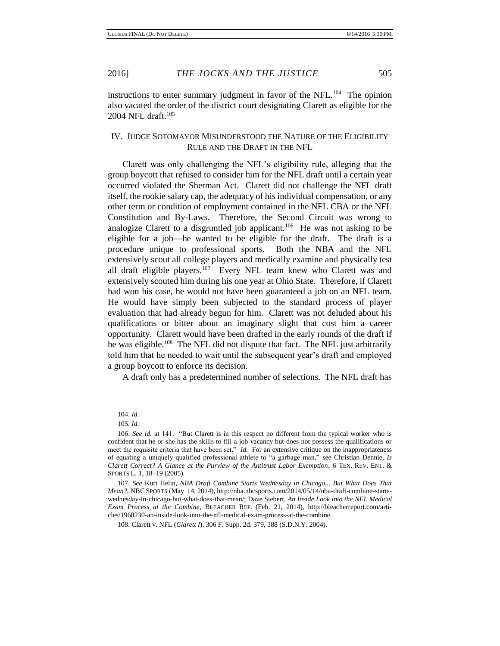instructions to enter summary judgment in favor of the NFL.<sup>104</sup> The opinion also vacated the order of the district court designating Clarett as eligible for the 2004 NFL draft.<sup>105</sup>

### IV. JUDGE SOTOMAYOR MISUNDERSTOOD THE NATURE OF THE ELIGIBILITY RULE AND THE DRAFT IN THE NFL

Clarett was only challenging the NFL's eligibility rule, alleging that the group boycott that refused to consider him for the NFL draft until a certain year occurred violated the Sherman Act. Clarett did not challenge the NFL draft itself, the rookie salary cap, the adequacy of his individual compensation, or any other term or condition of employment contained in the NFL CBA or the NFL Constitution and By-Laws. Therefore, the Second Circuit was wrong to analogize Clarett to a disgruntled job applicant.<sup>106</sup> He was not asking to be eligible for a job—he wanted to be eligible for the draft. The draft is a procedure unique to professional sports. Both the NBA and the NFL extensively scout all college players and medically examine and physically test all draft eligible players.<sup>107</sup> Every NFL team knew who Clarett was and extensively scouted him during his one year at Ohio State. Therefore, if Clarett had won his case, he would not have been guaranteed a job on an NFL team. He would have simply been subjected to the standard process of player evaluation that had already begun for him. Clarett was not deluded about his qualifications or bitter about an imaginary slight that cost him a career opportunity. Clarett would have been drafted in the early rounds of the draft if he was eligible.<sup>108</sup> The NFL did not dispute that fact. The NFL just arbitrarily told him that he needed to wait until the subsequent year's draft and employed a group boycott to enforce its decision.

A draft only has a predetermined number of selections. The NFL draft has

<sup>104.</sup> *Id.* 

<sup>105</sup>*. Id.* 

<sup>106.</sup> *See id.* at 141. "But Clarett is in this respect no different from the typical worker who is confident that he or she has the skills to fill a job vacancy but does not possess the qualifications or meet the requisite criteria that have been set." *Id.* For an extensive critique on the inappropriateness of equating a uniquely qualified professional athlete to "a garbage man," see Christian Dennie, *Is Clarett Correct? A Glance at the Purview of the Antitrust Labor Exemption*, 6 TEX. REV. ENT. & SPORTS L. 1, 18–19 (2005).

<sup>107.</sup> *See* Kurt Helin, *NBA Draft Combine Starts Wednesday in Chicago... But What Does That Mean?*, NBC SPORTS (May 14, 2014), http://nba.nbcsports.com/2014/05/14/nba-draft-combine-startswednesday-in-chicago-but-what-does-that-mean/; Dave Siebert, *An Inside Look into the NFL Medical Exam Process at the Combine*, BLEACHER REP. (Feb. 21, 2014), http://bleacherreport.com/articles/1968230-an-inside-look-into-the-nfl-medical-exam-process-at-the-combine.

<sup>108.</sup> Clarett v. NFL (*Clarett I*), 306 F. Supp. 2d. 379, 388 (S.D.N.Y. 2004).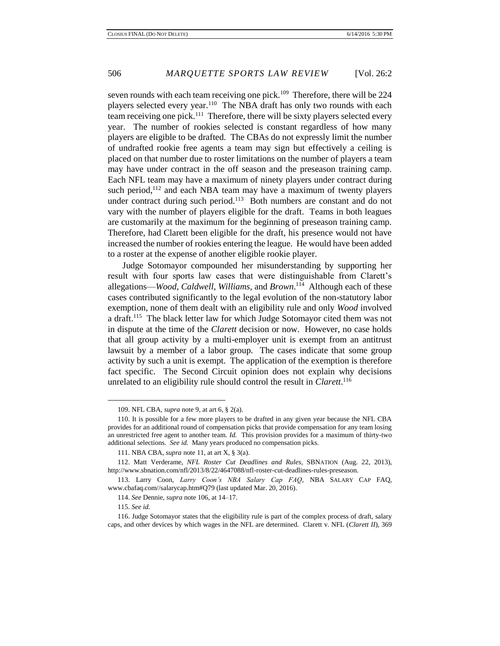seven rounds with each team receiving one pick.<sup>109</sup> Therefore, there will be 224 players selected every year.<sup>110</sup> The NBA draft has only two rounds with each team receiving one pick.<sup>111</sup> Therefore, there will be sixty players selected every year. The number of rookies selected is constant regardless of how many players are eligible to be drafted. The CBAs do not expressly limit the number of undrafted rookie free agents a team may sign but effectively a ceiling is placed on that number due to roster limitations on the number of players a team may have under contract in the off season and the preseason training camp. Each NFL team may have a maximum of ninety players under contract during such period, $12$  and each NBA team may have a maximum of twenty players under contract during such period.<sup>113</sup> Both numbers are constant and do not vary with the number of players eligible for the draft. Teams in both leagues are customarily at the maximum for the beginning of preseason training camp. Therefore, had Clarett been eligible for the draft, his presence would not have increased the number of rookies entering the league. He would have been added to a roster at the expense of another eligible rookie player.

Judge Sotomayor compounded her misunderstanding by supporting her result with four sports law cases that were distinguishable from Clarett's allegations—*Wood*, *Caldwell*, *Williams*, and *Brown*. 114 Although each of these cases contributed significantly to the legal evolution of the non-statutory labor exemption, none of them dealt with an eligibility rule and only *Wood* involved a draft.<sup>115</sup> The black letter law for which Judge Sotomayor cited them was not in dispute at the time of the *Clarett* decision or now. However, no case holds that all group activity by a multi-employer unit is exempt from an antitrust lawsuit by a member of a labor group. The cases indicate that some group activity by such a unit is exempt. The application of the exemption is therefore fact specific. The Second Circuit opinion does not explain why decisions unrelated to an eligibility rule should control the result in *Clarett*. 116

<sup>109.</sup> NFL CBA, *supra* note 9, at art 6, § 2(a).

<sup>110.</sup> It is possible for a few more players to be drafted in any given year because the NFL CBA provides for an additional round of compensation picks that provide compensation for any team losing an unrestricted free agent to another team. *Id.* This provision provides for a maximum of thirty-two additional selections. *See id.* Many years produced no compensation picks.

<sup>111.</sup> NBA CBA, *supra* note 11, at art X, § 3(a).

<sup>112.</sup> Matt Verderame, *NFL Roster Cut Deadlines and Rules*, SBNATION (Aug. 22, 2013), http://www.sbnation.com/nfl/2013/8/22/4647088/nfl-roster-cut-deadlines-rules-preseason.

<sup>113.</sup> Larry Coon, *Larry Coon's NBA Salary Cap FAQ*, NBA SALARY CAP FAQ, www.cbafaq.com//salarycap.htm#Q79 (last updated Mar. 20, 2016).

<sup>114.</sup> *See* Dennie, *supra* note 106, at 14–17.

<sup>115.</sup> *See id.*

<sup>116.</sup> Judge Sotomayor states that the eligibility rule is part of the complex process of draft, salary caps, and other devices by which wages in the NFL are determined. Clarett v. NFL (*Clarett II*), 369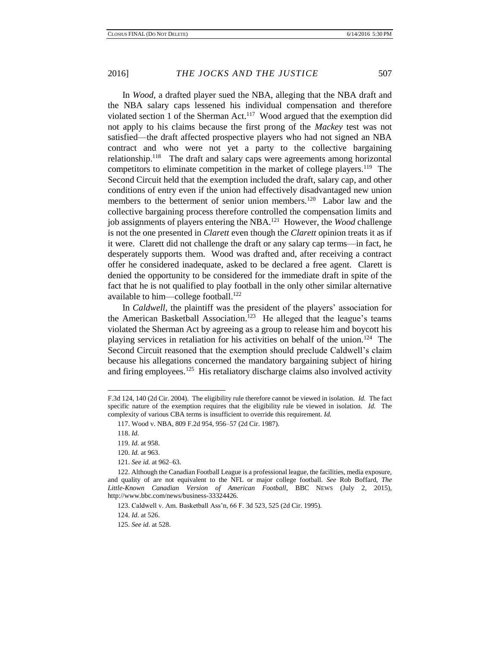In *Wood*, a drafted player sued the NBA, alleging that the NBA draft and the NBA salary caps lessened his individual compensation and therefore violated section 1 of the Sherman Act.<sup>117</sup> Wood argued that the exemption did not apply to his claims because the first prong of the *Mackey* test was not satisfied—the draft affected prospective players who had not signed an NBA contract and who were not yet a party to the collective bargaining relationship.<sup>118</sup> The draft and salary caps were agreements among horizontal competitors to eliminate competition in the market of college players.<sup>119</sup> The Second Circuit held that the exemption included the draft, salary cap, and other conditions of entry even if the union had effectively disadvantaged new union members to the betterment of senior union members.<sup>120</sup> Labor law and the collective bargaining process therefore controlled the compensation limits and job assignments of players entering the NBA.<sup>121</sup> However, the *Wood* challenge is not the one presented in *Clarett* even though the *Clarett* opinion treats it as if it were. Clarett did not challenge the draft or any salary cap terms—in fact, he desperately supports them. Wood was drafted and, after receiving a contract offer he considered inadequate, asked to be declared a free agent. Clarett is denied the opportunity to be considered for the immediate draft in spite of the fact that he is not qualified to play football in the only other similar alternative available to him—college football.<sup>122</sup>

In *Caldwell*, the plaintiff was the president of the players' association for the American Basketball Association.<sup>123</sup> He alleged that the league's teams violated the Sherman Act by agreeing as a group to release him and boycott his playing services in retaliation for his activities on behalf of the union.<sup>124</sup> The Second Circuit reasoned that the exemption should preclude Caldwell's claim because his allegations concerned the mandatory bargaining subject of hiring and firing employees.<sup>125</sup> His retaliatory discharge claims also involved activity

F.3d 124, 140 (2d Cir. 2004). The eligibility rule therefore cannot be viewed in isolation. *Id.* The fact specific nature of the exemption requires that the eligibility rule be viewed in isolation. *Id.* The complexity of various CBA terms is insufficient to override this requirement. *Id.*

<sup>117.</sup> Wood v. NBA, 809 F.2d 954, 956–57 (2d Cir. 1987).

<sup>118.</sup> *Id.*

<sup>119.</sup> *Id.* at 958.

<sup>120.</sup> *Id.* at 963.

<sup>121.</sup> *See id.* at 962–63.

<sup>122.</sup> Although the Canadian Football League is a professional league, the facilities, media exposure, and quality of are not equivalent to the NFL or major college football. *See* Rob Boffard, *The Little-Known Canadian Version of American Football*, BBC NEWS (July 2, 2015), http://www.bbc.com/news/business-33324426.

<sup>123.</sup> Caldwell v. Am. Basketball Ass'n, 66 F. 3d 523, 525 (2d Cir. 1995).

<sup>124.</sup> *Id.* at 526.

<sup>125.</sup> *See id.* at 528.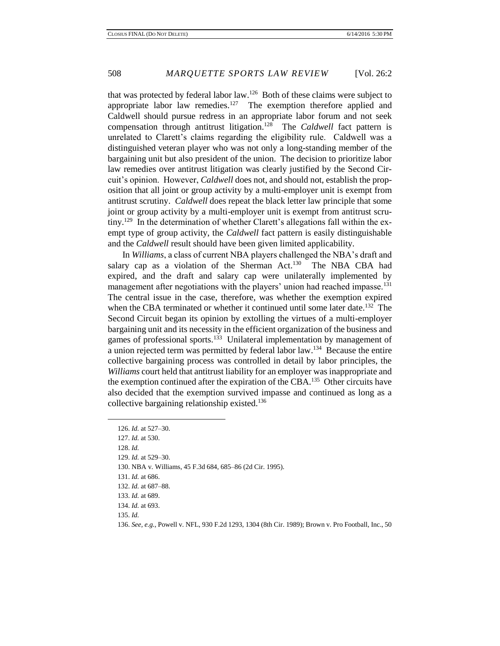that was protected by federal labor law.<sup>126</sup> Both of these claims were subject to appropriate labor law remedies.<sup>127</sup> The exemption therefore applied and Caldwell should pursue redress in an appropriate labor forum and not seek compensation through antitrust litigation.<sup>128</sup> The *Caldwell* fact pattern is unrelated to Clarett's claims regarding the eligibility rule. Caldwell was a distinguished veteran player who was not only a long-standing member of the bargaining unit but also president of the union. The decision to prioritize labor law remedies over antitrust litigation was clearly justified by the Second Circuit's opinion. However, *Caldwell* does not, and should not, establish the proposition that all joint or group activity by a multi-employer unit is exempt from antitrust scrutiny. *Caldwell* does repeat the black letter law principle that some joint or group activity by a multi-employer unit is exempt from antitrust scrutiny.<sup>129</sup> In the determination of whether Clarett's allegations fall within the exempt type of group activity, the *Caldwell* fact pattern is easily distinguishable and the *Caldwell* result should have been given limited applicability.

In *Williams*, a class of current NBA players challenged the NBA's draft and salary cap as a violation of the Sherman Act.<sup>130</sup> The NBA CBA had expired, and the draft and salary cap were unilaterally implemented by management after negotiations with the players' union had reached impasse.<sup>131</sup> The central issue in the case, therefore, was whether the exemption expired when the CBA terminated or whether it continued until some later date.<sup>132</sup> The Second Circuit began its opinion by extolling the virtues of a multi-employer bargaining unit and its necessity in the efficient organization of the business and games of professional sports.<sup>133</sup> Unilateral implementation by management of a union rejected term was permitted by federal labor law.<sup>134</sup> Because the entire collective bargaining process was controlled in detail by labor principles, the *Williams* court held that antitrust liability for an employer was inappropriate and the exemption continued after the expiration of the CBA.<sup>135</sup> Other circuits have also decided that the exemption survived impasse and continued as long as a collective bargaining relationship existed.<sup>136</sup>

<sup>126.</sup> *Id.* at 527–30.

<sup>127.</sup> *Id.* at 530.

<sup>128.</sup> *Id.*

<sup>129.</sup> *Id.* at 529–30.

<sup>130.</sup> NBA v. Williams, 45 F.3d 684, 685–86 (2d Cir. 1995).

<sup>131.</sup> *Id.* at 686.

<sup>132.</sup> *Id.* at 687–88.

<sup>133.</sup> *Id.* at 689.

<sup>134.</sup> *Id.* at 693.

<sup>135.</sup> *Id.*

<sup>136.</sup> *See, e.g.*, Powell v. NFL, 930 F.2d 1293, 1304 (8th Cir. 1989); Brown v. Pro Football, Inc., 50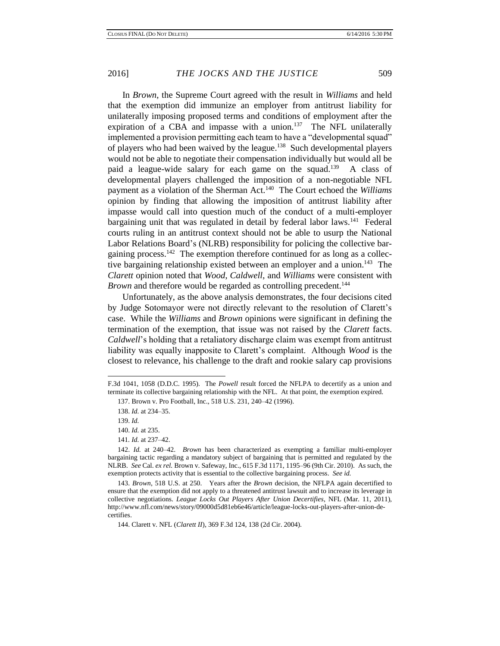In *Brown*, the Supreme Court agreed with the result in *Williams* and held that the exemption did immunize an employer from antitrust liability for unilaterally imposing proposed terms and conditions of employment after the expiration of a CBA and impasse with a union.<sup>137</sup> The NFL unilaterally implemented a provision permitting each team to have a "developmental squad" of players who had been waived by the league.<sup>138</sup> Such developmental players would not be able to negotiate their compensation individually but would all be paid a league-wide salary for each game on the squad.<sup>139</sup> A class of developmental players challenged the imposition of a non-negotiable NFL payment as a violation of the Sherman Act.<sup>140</sup> The Court echoed the *Williams* opinion by finding that allowing the imposition of antitrust liability after impasse would call into question much of the conduct of a multi-employer bargaining unit that was regulated in detail by federal labor laws.<sup>141</sup> Federal courts ruling in an antitrust context should not be able to usurp the National Labor Relations Board's (NLRB) responsibility for policing the collective bargaining process.<sup>142</sup> The exemption therefore continued for as long as a collective bargaining relationship existed between an employer and a union.<sup>143</sup> The *Clarett* opinion noted that *Wood*, *Caldwell*, and *Williams* were consistent with *Brown* and therefore would be regarded as controlling precedent.<sup>144</sup>

Unfortunately, as the above analysis demonstrates, the four decisions cited by Judge Sotomayor were not directly relevant to the resolution of Clarett's case. While the *Williams* and *Brown* opinions were significant in defining the termination of the exemption, that issue was not raised by the *Clarett* facts. *Caldwell*'s holding that a retaliatory discharge claim was exempt from antitrust liability was equally inapposite to Clarett's complaint. Although *Wood* is the closest to relevance, his challenge to the draft and rookie salary cap provisions

l

F.3d 1041, 1058 (D.D.C. 1995). The *Powell* result forced the NFLPA to decertify as a union and terminate its collective bargaining relationship with the NFL. At that point, the exemption expired.

<sup>137.</sup> Brown v. Pro Football, Inc., 518 U.S. 231, 240–42 (1996).

<sup>138.</sup> *Id.* at 234–35.

<sup>139.</sup> *Id.*

<sup>140.</sup> *Id.* at 235.

<sup>141</sup>*. Id.* at 237–42.

<sup>142.</sup> *Id.* at 240–42. *Brown* has been characterized as exempting a familiar multi-employer bargaining tactic regarding a mandatory subject of bargaining that is permitted and regulated by the NLRB. *See* Cal. *ex rel.* Brown v. Safeway, Inc., 615 F.3d 1171, 1195–96 (9th Cir. 2010).As such, the exemption protects activity that is essential to the collective bargaining process. *See id.*

<sup>143.</sup> *Brown*, 518 U.S. at 250. Years after the *Brown* decision, the NFLPA again decertified to ensure that the exemption did not apply to a threatened antitrust lawsuit and to increase its leverage in collective negotiations. *League Locks Out Players After Union Decertifies*, NFL (Mar. 11, 2011), http://www.nfl.com/news/story/09000d5d81eb6e46/article/league-locks-out-players-after-union-decertifies.

<sup>144.</sup> Clarett v. NFL (*Clarett II*), 369 F.3d 124, 138 (2d Cir. 2004).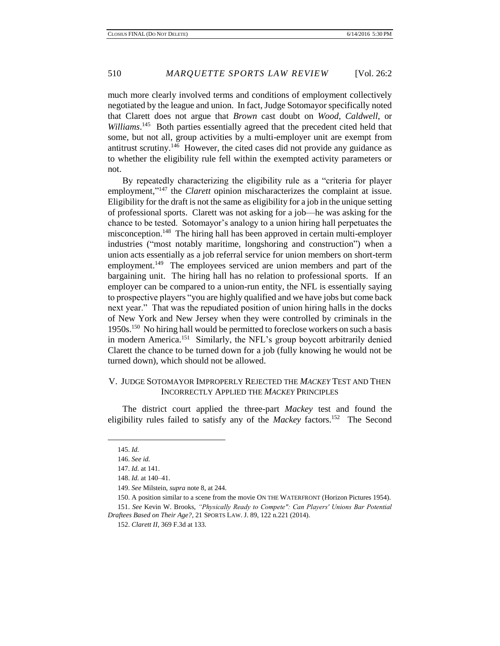much more clearly involved terms and conditions of employment collectively negotiated by the league and union. In fact, Judge Sotomayor specifically noted that Clarett does not argue that *Brown* cast doubt on *Wood*, *Caldwell*, or Williams.<sup>145</sup> Both parties essentially agreed that the precedent cited held that some, but not all, group activities by a multi-employer unit are exempt from antitrust scrutiny.<sup>146</sup> However, the cited cases did not provide any guidance as to whether the eligibility rule fell within the exempted activity parameters or not.

By repeatedly characterizing the eligibility rule as a "criteria for player employment,"<sup>147</sup> the *Clarett* opinion mischaracterizes the complaint at issue. Eligibility for the draft is not the same as eligibility for a job in the unique setting of professional sports. Clarett was not asking for a job—he was asking for the chance to be tested. Sotomayor's analogy to a union hiring hall perpetuates the misconception.<sup>148</sup> The hiring hall has been approved in certain multi-employer industries ("most notably maritime, longshoring and construction") when a union acts essentially as a job referral service for union members on short-term employment.<sup>149</sup> The employees serviced are union members and part of the bargaining unit. The hiring hall has no relation to professional sports. If an employer can be compared to a union-run entity, the NFL is essentially saying to prospective players "you are highly qualified and we have jobs but come back next year." That was the repudiated position of union hiring halls in the docks of New York and New Jersey when they were controlled by criminals in the 1950s.<sup>150</sup> No hiring hall would be permitted to foreclose workers on such a basis in modern America.<sup>151</sup> Similarly, the NFL's group boycott arbitrarily denied Clarett the chance to be turned down for a job (fully knowing he would not be turned down), which should not be allowed.

## V. JUDGE SOTOMAYOR IMPROPERLY REJECTED THE *MACKEY* TEST AND THEN INCORRECTLY APPLIED THE *MACKEY* PRINCIPLES

The district court applied the three-part *Mackey* test and found the eligibility rules failed to satisfy any of the *Mackey* factors.<sup>152</sup> The Second

<sup>145.</sup> *Id.*

<sup>146.</sup> *See id.*

<sup>147.</sup> *Id.* at 141.

<sup>148.</sup> *Id.* at 140–41.

<sup>149.</sup> *See* Milstein, *supra* note 8, at 244.

<sup>150.</sup> A position similar to a scene from the movie ON THE WATERFRONT (Horizon Pictures 1954).

<sup>151.</sup> *See* Kevin W. Brooks, *"Physically Ready to Compete": Can Players' Unions Bar Potential Draftees Based on Their Age?*, 21 SPORTS LAW. J. 89, 122 n.221 (2014).

<sup>152.</sup> *Clarett II*, 369 F.3d at 133.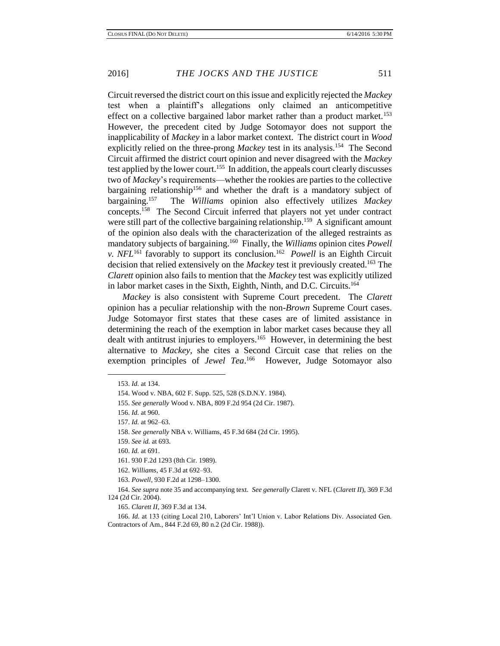Circuit reversed the district court on this issue and explicitly rejected the *Mackey* test when a plaintiff's allegations only claimed an anticompetitive effect on a collective bargained labor market rather than a product market.<sup>153</sup> However, the precedent cited by Judge Sotomayor does not support the inapplicability of *Mackey* in a labor market context. The district court in *Wood* explicitly relied on the three-prong *Mackey* test in its analysis.<sup>154</sup> The Second Circuit affirmed the district court opinion and never disagreed with the *Mackey* test applied by the lower court.<sup>155</sup> In addition, the appeals court clearly discusses two of *Mackey*'s requirements—whether the rookies are parties to the collective bargaining relationship<sup>156</sup> and whether the draft is a mandatory subject of bargaining.<sup>157</sup> The *Williams* opinion also effectively utilizes *Mackey* concepts.<sup>158</sup> The Second Circuit inferred that players not yet under contract were still part of the collective bargaining relationship.<sup>159</sup> A significant amount of the opinion also deals with the characterization of the alleged restraints as mandatory subjects of bargaining.<sup>160</sup> Finally, the *Williams* opinion cites *Powell v. NFL*<sup>161</sup> favorably to support its conclusion.<sup>162</sup> *Powell* is an Eighth Circuit decision that relied extensively on the *Mackey* test it previously created.<sup>163</sup> The *Clarett* opinion also fails to mention that the *Mackey* test was explicitly utilized in labor market cases in the Sixth, Eighth, Ninth, and D.C. Circuits.<sup>164</sup>

*Mackey* is also consistent with Supreme Court precedent. The *Clarett* opinion has a peculiar relationship with the non-*Brown* Supreme Court cases. Judge Sotomayor first states that these cases are of limited assistance in determining the reach of the exemption in labor market cases because they all dealt with antitrust injuries to employers.<sup>165</sup> However, in determining the best alternative to *Mackey*, she cites a Second Circuit case that relies on the exemption principles of *Jewel Tea*.<sup>166</sup> However, Judge Sotomayor also

 $\overline{\phantom{a}}$ 

165. *Clarett II*, 369 F.3d at 134.

<sup>153.</sup> *Id.* at 134.

<sup>154.</sup> Wood v. NBA, 602 F. Supp. 525, 528 (S.D.N.Y. 1984).

<sup>155.</sup> *See generally* Wood v. NBA, 809 F.2d 954 (2d Cir. 1987).

<sup>156.</sup> *Id.* at 960.

<sup>157.</sup> *Id.* at 962–63.

<sup>158.</sup> *See generally* NBA v. Williams, 45 F.3d 684 (2d Cir. 1995).

<sup>159.</sup> *See id.* at 693.

<sup>160.</sup> *Id.* at 691.

<sup>161.</sup> 930 F.2d 1293 (8th Cir. 1989).

<sup>162.</sup> *Williams*, 45 F.3d at 692–93.

<sup>163.</sup> *Powell*, 930 F.2d at 1298–1300.

<sup>164.</sup> *See supra* note 35 and accompanying text. *See generally* Clarett v. NFL (*Clarett II*), 369 F.3d 124 (2d Cir. 2004).

<sup>166.</sup> *Id.* at 133 (citing Local 210, Laborers' Int'l Union v. Labor Relations Div. Associated Gen. Contractors of Am., 844 F.2d 69, 80 n.2 (2d Cir. 1988)).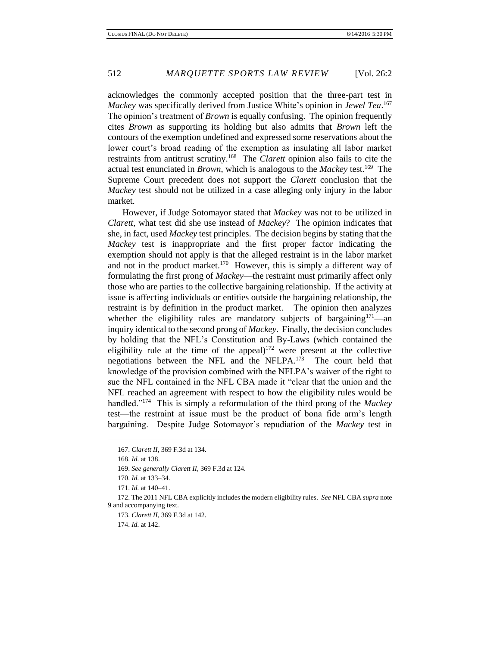acknowledges the commonly accepted position that the three-part test in *Mackey* was specifically derived from Justice White's opinion in *Jewel Tea*. 167 The opinion's treatment of *Brown* is equally confusing. The opinion frequently cites *Brown* as supporting its holding but also admits that *Brown* left the contours of the exemption undefined and expressed some reservations about the lower court's broad reading of the exemption as insulating all labor market restraints from antitrust scrutiny.<sup>168</sup> The *Clarett* opinion also fails to cite the actual test enunciated in *Brown*, which is analogous to the *Mackey* test.<sup>169</sup> The Supreme Court precedent does not support the *Clarett* conclusion that the *Mackey* test should not be utilized in a case alleging only injury in the labor market.

However, if Judge Sotomayor stated that *Mackey* was not to be utilized in *Clarett*, what test did she use instead of *Mackey*? The opinion indicates that she, in fact, used *Mackey* test principles. The decision begins by stating that the *Mackey* test is inappropriate and the first proper factor indicating the exemption should not apply is that the alleged restraint is in the labor market and not in the product market.<sup>170</sup> However, this is simply a different way of formulating the first prong of *Mackey*—the restraint must primarily affect only those who are parties to the collective bargaining relationship. If the activity at issue is affecting individuals or entities outside the bargaining relationship, the restraint is by definition in the product market. The opinion then analyzes whether the eligibility rules are mandatory subjects of bargaining<sup>171</sup>—an inquiry identical to the second prong of *Mackey*. Finally, the decision concludes by holding that the NFL's Constitution and By-Laws (which contained the eligibility rule at the time of the appeal)<sup>172</sup> were present at the collective negotiations between the NFL and the NFLPA.<sup>173</sup> The court held that knowledge of the provision combined with the NFLPA's waiver of the right to sue the NFL contained in the NFL CBA made it "clear that the union and the NFL reached an agreement with respect to how the eligibility rules would be handled."<sup>174</sup> This is simply a reformulation of the third prong of the *Mackey* test—the restraint at issue must be the product of bona fide arm's length bargaining. Despite Judge Sotomayor's repudiation of the *Mackey* test in

<sup>167.</sup> *Clarett II*, 369 F.3d at 134.

<sup>168.</sup> *Id.* at 138.

<sup>169.</sup> *See generally Clarett II*, 369 F.3d at 124.

<sup>170.</sup> *Id.* at 133–34.

<sup>171.</sup> *Id.* at 140–41.

<sup>172.</sup> The 2011 NFL CBA explicitly includes the modern eligibility rules. *See* NFL CBA *supra* note 9 and accompanying text.

<sup>173.</sup> *Clarett II*, 369 F.3d at 142.

<sup>174.</sup> *Id.* at 142.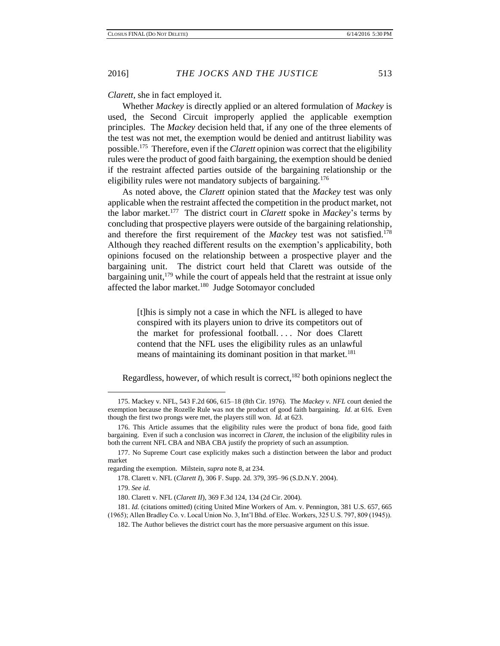*Clarett*, she in fact employed it.

Whether *Mackey* is directly applied or an altered formulation of *Mackey* is used, the Second Circuit improperly applied the applicable exemption principles. The *Mackey* decision held that, if any one of the three elements of the test was not met, the exemption would be denied and antitrust liability was possible.<sup>175</sup> Therefore, even if the *Clarett* opinion was correct that the eligibility rules were the product of good faith bargaining, the exemption should be denied if the restraint affected parties outside of the bargaining relationship or the eligibility rules were not mandatory subjects of bargaining.<sup>176</sup>

As noted above, the *Clarett* opinion stated that the *Mackey* test was only applicable when the restraint affected the competition in the product market, not the labor market.<sup>177</sup> The district court in *Clarett* spoke in *Mackey*'s terms by concluding that prospective players were outside of the bargaining relationship, and therefore the first requirement of the *Mackey* test was not satisfied.<sup>178</sup> Although they reached different results on the exemption's applicability, both opinions focused on the relationship between a prospective player and the bargaining unit. The district court held that Clarett was outside of the bargaining unit, <sup>179</sup> while the court of appeals held that the restraint at issue only affected the labor market.<sup>180</sup> Judge Sotomayor concluded

> [t]his is simply not a case in which the NFL is alleged to have conspired with its players union to drive its competitors out of the market for professional football. . . . Nor does Clarett contend that the NFL uses the eligibility rules as an unlawful means of maintaining its dominant position in that market.<sup>181</sup>

Regardless, however, of which result is correct, $182$  both opinions neglect the

<sup>175.</sup> Mackey v. NFL, 543 F.2d 606, 615–18 (8th Cir. 1976). The *Mackey v. NFL* court denied the exemption because the Rozelle Rule was not the product of good faith bargaining. *Id.* at 616. Even though the first two prongs were met, the players still won. *Id.* at 623.

<sup>176.</sup> This Article assumes that the eligibility rules were the product of bona fide, good faith bargaining. Even if such a conclusion was incorrect in *Clarett*, the inclusion of the eligibility rules in both the current NFL CBA and NBA CBA justify the propriety of such an assumption.

<sup>177.</sup> No Supreme Court case explicitly makes such a distinction between the labor and product market

regarding the exemption. Milstein, *supra* note 8, at 234.

<sup>178.</sup> Clarett v. NFL (*Clarett I*), 306 F. Supp. 2d. 379, 395–96 (S.D.N.Y. 2004).

<sup>179.</sup> *See id*.

<sup>180.</sup> Clarett v. NFL (*Clarett II*), 369 F.3d 124, 134 (2d Cir. 2004).

<sup>181.</sup> *Id.* (citations omitted) (citing United Mine Workers of Am. v. Pennington, 381 U.S. 657, 665 (1965); Allen Bradley Co. v. Local Union No. 3, Int'l Bhd. of Elec. Workers, 325 U.S. 797, 809 (1945)).

<sup>182.</sup> The Author believes the district court has the more persuasive argument on this issue.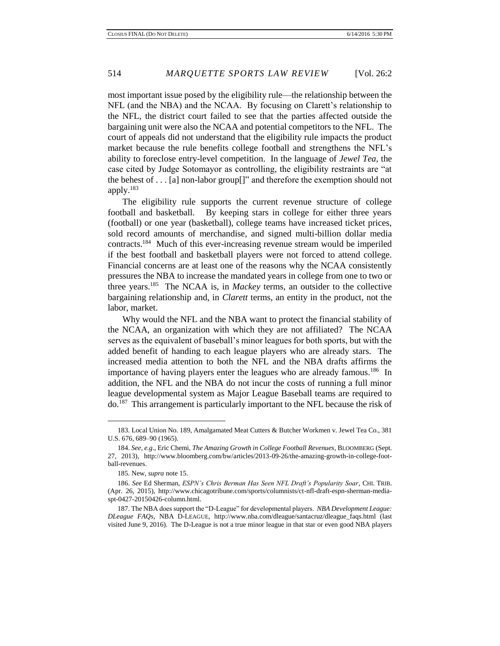most important issue posed by the eligibility rule—the relationship between the NFL (and the NBA) and the NCAA. By focusing on Clarett's relationship to the NFL, the district court failed to see that the parties affected outside the bargaining unit were also the NCAA and potential competitors to the NFL. The court of appeals did not understand that the eligibility rule impacts the product market because the rule benefits college football and strengthens the NFL's ability to foreclose entry-level competition. In the language of *Jewel Tea*, the case cited by Judge Sotomayor as controlling, the eligibility restraints are "at the behest of . . . [a] non-labor group[]" and therefore the exemption should not apply. $183$ 

The eligibility rule supports the current revenue structure of college football and basketball. By keeping stars in college for either three years (football) or one year (basketball), college teams have increased ticket prices, sold record amounts of merchandise, and signed multi-billion dollar media contracts.<sup>184</sup> Much of this ever-increasing revenue stream would be imperiled if the best football and basketball players were not forced to attend college. Financial concerns are at least one of the reasons why the NCAA consistently pressures the NBA to increase the mandated years in college from one to two or three years. 185 The NCAA is, in *Mackey* terms, an outsider to the collective bargaining relationship and, in *Clarett* terms, an entity in the product, not the labor, market.

Why would the NFL and the NBA want to protect the financial stability of the NCAA, an organization with which they are not affiliated? The NCAA serves as the equivalent of baseball's minor leagues for both sports, but with the added benefit of handing to each league players who are already stars. The increased media attention to both the NFL and the NBA drafts affirms the importance of having players enter the leagues who are already famous.<sup>186</sup> In addition, the NFL and the NBA do not incur the costs of running a full minor league developmental system as Major League Baseball teams are required to do.<sup>187</sup> This arrangement is particularly important to the NFL because the risk of

<sup>183.</sup> Local Union No. 189, Amalgamated Meat Cutters & Butcher Workmen v. Jewel Tea Co., 381 U.S. 676, 689–90 (1965).

<sup>184.</sup> *See, e.g*., Eric Chemi, *The Amazing Growth in College Football Revenues*, BLOOMBERG (Sept. 27, 2013), http://www.bloomberg.com/bw/articles/2013-09-26/the-amazing-growth-in-college-football-revenues.

<sup>185.</sup> New, *supra* note 15.

<sup>186.</sup> *See* Ed Sherman, *ESPN's Chris Berman Has Seen NFL Draft's Popularity Soar*, CHI. TRIB. (Apr. 26, 2015), http://www.chicagotribune.com/sports/columnists/ct-nfl-draft-espn-sherman-mediaspt-0427-20150426-column.html.

<sup>187.</sup> The NBA does support the "D-League" for developmental players. *NBA Development League: DLeague FAQs*, NBA D-LEAGUE, http://www.nba.com/dleague/santacruz/dleague\_faqs.html (last visited June 9, 2016). The D-League is not a true minor league in that star or even good NBA players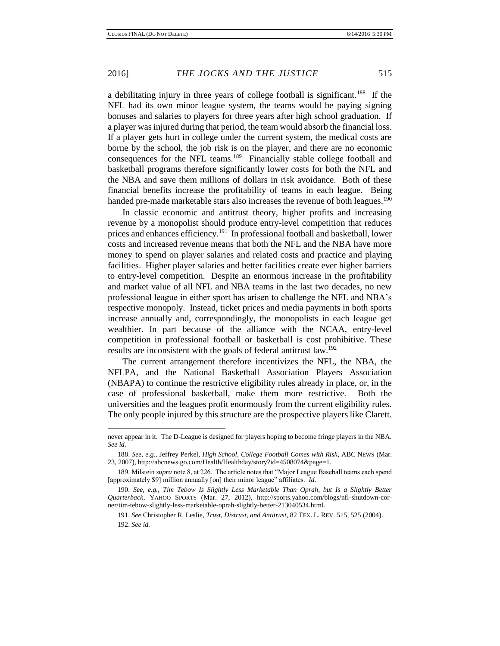a debilitating injury in three years of college football is significant.<sup>188</sup> If the NFL had its own minor league system, the teams would be paying signing bonuses and salaries to players for three years after high school graduation. If a player was injured during that period, the team would absorb the financial loss. If a player gets hurt in college under the current system, the medical costs are borne by the school, the job risk is on the player, and there are no economic consequences for the NFL teams.<sup>189</sup> Financially stable college football and basketball programs therefore significantly lower costs for both the NFL and the NBA and save them millions of dollars in risk avoidance. Both of these financial benefits increase the profitability of teams in each league. Being handed pre-made marketable stars also increases the revenue of both leagues.<sup>190</sup>

In classic economic and antitrust theory, higher profits and increasing revenue by a monopolist should produce entry-level competition that reduces prices and enhances efficiency.<sup>191</sup> In professional football and basketball, lower costs and increased revenue means that both the NFL and the NBA have more money to spend on player salaries and related costs and practice and playing facilities. Higher player salaries and better facilities create ever higher barriers to entry-level competition. Despite an enormous increase in the profitability and market value of all NFL and NBA teams in the last two decades, no new professional league in either sport has arisen to challenge the NFL and NBA's respective monopoly. Instead, ticket prices and media payments in both sports increase annually and, correspondingly, the monopolists in each league get wealthier. In part because of the alliance with the NCAA, entry-level competition in professional football or basketball is cost prohibitive. These results are inconsistent with the goals of federal antitrust law.<sup>192</sup>

The current arrangement therefore incentivizes the NFL, the NBA, the NFLPA, and the National Basketball Association Players Association (NBAPA) to continue the restrictive eligibility rules already in place, or, in the case of professional basketball, make them more restrictive. Both the universities and the leagues profit enormously from the current eligibility rules. The only people injured by this structure are the prospective players like Clarett.

never appear in it. The D-League is designed for players hoping to become fringe players in the NBA. *See id.*

<sup>188.</sup> *See, e.g.*, Jeffrey Perkel, *High School, College Football Comes with Risk*, ABC NEWS (Mar. 23, 2007), http://abcnews.go.com/Health/Healthday/story?id=4508074&page=1.

<sup>189.</sup> Milstein *supra* note 8, at 226. The article notes that "Major League Baseball teams each spend [approximately \$9] million annually [on] their minor league" affiliates. *Id.*

<sup>190.</sup> *See, e.g.*, *Tim Tebow Is Slightly Less Marketable Than Oprah, but Is a Slightly Better Quarterback*, YAHOO SPORTS (Mar. 27, 2012), http://sports.yahoo.com/blogs/nfl-shutdown-corner/tim-tebow-slightly-less-marketable-oprah-slightly-better-213040534.html.

<sup>191.</sup> *See* Christopher R. Leslie, *Trust, Distrust, and Antitrust*, 82 TEX. L. REV. 515, 525 (2004). 192. *See id.*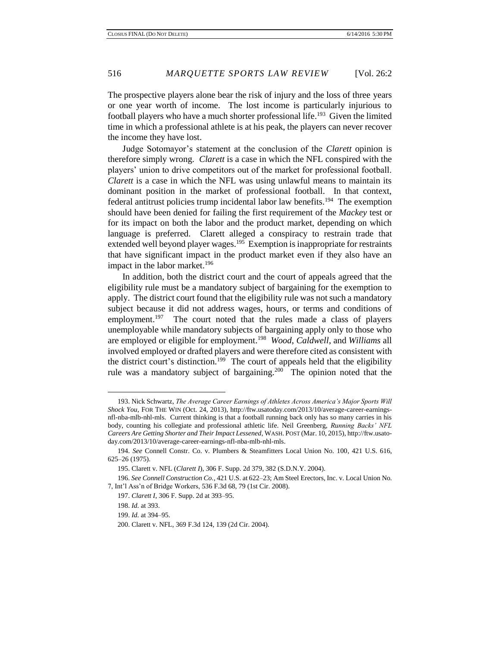The prospective players alone bear the risk of injury and the loss of three years or one year worth of income. The lost income is particularly injurious to football players who have a much shorter professional life.<sup>193</sup> Given the limited time in which a professional athlete is at his peak, the players can never recover the income they have lost.

Judge Sotomayor's statement at the conclusion of the *Clarett* opinion is therefore simply wrong. *Clarett* is a case in which the NFL conspired with the players' union to drive competitors out of the market for professional football. *Clarett* is a case in which the NFL was using unlawful means to maintain its dominant position in the market of professional football. In that context, federal antitrust policies trump incidental labor law benefits.<sup>194</sup> The exemption should have been denied for failing the first requirement of the *Mackey* test or for its impact on both the labor and the product market, depending on which language is preferred. Clarett alleged a conspiracy to restrain trade that extended well beyond player wages.<sup>195</sup> Exemption is inappropriate for restraints that have significant impact in the product market even if they also have an impact in the labor market.<sup>196</sup>

In addition, both the district court and the court of appeals agreed that the eligibility rule must be a mandatory subject of bargaining for the exemption to apply. The district court found that the eligibility rule was not such a mandatory subject because it did not address wages, hours, or terms and conditions of employment.<sup>197</sup> The court noted that the rules made a class of players unemployable while mandatory subjects of bargaining apply only to those who are employed or eligible for employment.<sup>198</sup> *Wood*, *Caldwell*, and *Williams* all involved employed or drafted players and were therefore cited as consistent with the district court's distinction.<sup>199</sup> The court of appeals held that the eligibility rule was a mandatory subject of bargaining.<sup>200</sup> The opinion noted that the

<sup>193.</sup> Nick Schwartz, *The Average Career Earnings of Athletes Across America's Major Sports Will Shock You*, FOR THE WIN (Oct. 24, 2013), http://ftw.usatoday.com/2013/10/average-career-earningsnfl-nba-mlb-nhl-mls. Current thinking is that a football running back only has so many carries in his body, counting his collegiate and professional athletic life. Neil Greenberg, *Running Backs' NFL Careers Are Getting Shorter and Their Impact Lessened*, WASH. POST (Mar. 10, 2015), http://ftw.usatoday.com/2013/10/average-career-earnings-nfl-nba-mlb-nhl-mls.

<sup>194.</sup> *See* Connell Constr. Co. v. Plumbers & Steamfitters Local Union No. 100, 421 U.S. 616, 625–26 (1975).

<sup>195.</sup> Clarett v. NFL (*Clarett I*), 306 F. Supp. 2d 379, 382 (S.D.N.Y. 2004).

<sup>196.</sup> *See Connell Construction Co.*, 421 U.S. at 622–23; Am Steel Erectors, Inc. v. Local Union No. 7, Int'l Ass'n of Bridge Workers, 536 F.3d 68, 79 (1st Cir. 2008).

<sup>197.</sup> *Clarett I*, 306 F. Supp. 2d at 393–95.

<sup>198.</sup> *Id.* at 393.

<sup>199.</sup> *Id.* at 394–95.

<sup>200.</sup> Clarett v. NFL, 369 F.3d 124, 139 (2d Cir. 2004).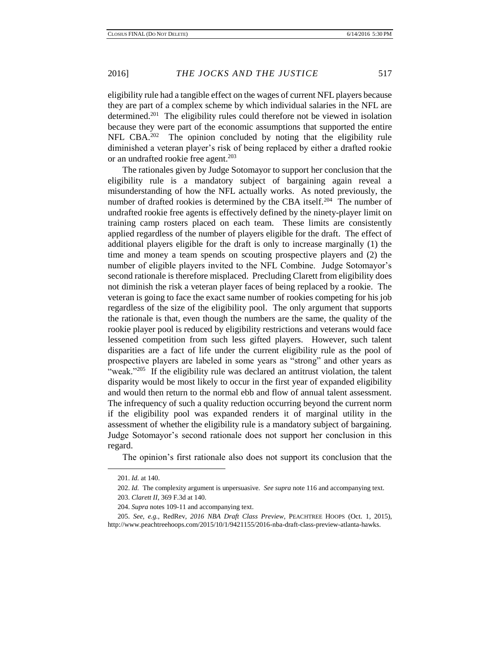eligibility rule had a tangible effect on the wages of current NFL players because they are part of a complex scheme by which individual salaries in the NFL are determined.<sup>201</sup> The eligibility rules could therefore not be viewed in isolation because they were part of the economic assumptions that supported the entire NFL CBA.<sup>202</sup> The opinion concluded by noting that the eligibility rule diminished a veteran player's risk of being replaced by either a drafted rookie or an undrafted rookie free agent.<sup>203</sup>

The rationales given by Judge Sotomayor to support her conclusion that the eligibility rule is a mandatory subject of bargaining again reveal a misunderstanding of how the NFL actually works. As noted previously, the number of drafted rookies is determined by the CBA itself.<sup>204</sup> The number of undrafted rookie free agents is effectively defined by the ninety-player limit on training camp rosters placed on each team. These limits are consistently applied regardless of the number of players eligible for the draft. The effect of additional players eligible for the draft is only to increase marginally (1) the time and money a team spends on scouting prospective players and (2) the number of eligible players invited to the NFL Combine. Judge Sotomayor's second rationale is therefore misplaced. Precluding Clarett from eligibility does not diminish the risk a veteran player faces of being replaced by a rookie. The veteran is going to face the exact same number of rookies competing for his job regardless of the size of the eligibility pool. The only argument that supports the rationale is that, even though the numbers are the same, the quality of the rookie player pool is reduced by eligibility restrictions and veterans would face lessened competition from such less gifted players. However, such talent disparities are a fact of life under the current eligibility rule as the pool of prospective players are labeled in some years as "strong" and other years as "weak."<sup>205</sup> If the eligibility rule was declared an antitrust violation, the talent disparity would be most likely to occur in the first year of expanded eligibility and would then return to the normal ebb and flow of annual talent assessment. The infrequency of such a quality reduction occurring beyond the current norm if the eligibility pool was expanded renders it of marginal utility in the assessment of whether the eligibility rule is a mandatory subject of bargaining. Judge Sotomayor's second rationale does not support her conclusion in this regard.

The opinion's first rationale also does not support its conclusion that the

<sup>201.</sup> *Id.* at 140.

<sup>202.</sup> *Id.* The complexity argument is unpersuasive. *See supra* note 116 and accompanying text. 203. *Clarett II*, 369 F.3d at 140.

<sup>204.</sup> *Supra* notes 109-11 and accompanying text.

<sup>205.</sup> *See, e.g.*, RedRev, *2016 NBA Draft Class Preview*, PEACHTREE HOOPS (Oct. 1, 2015), http://www.peachtreehoops.com/2015/10/1/9421155/2016-nba-draft-class-preview-atlanta-hawks.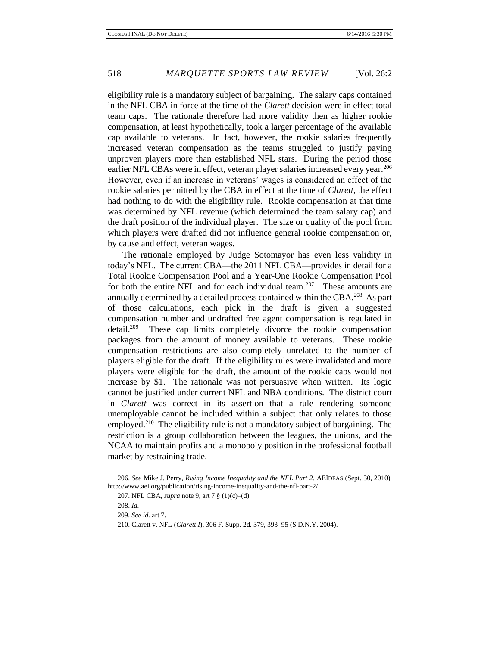eligibility rule is a mandatory subject of bargaining. The salary caps contained in the NFL CBA in force at the time of the *Clarett* decision were in effect total team caps. The rationale therefore had more validity then as higher rookie compensation, at least hypothetically, took a larger percentage of the available cap available to veterans. In fact, however, the rookie salaries frequently increased veteran compensation as the teams struggled to justify paying unproven players more than established NFL stars. During the period those earlier NFL CBAs were in effect, veteran player salaries increased every year.<sup>206</sup> However, even if an increase in veterans' wages is considered an effect of the rookie salaries permitted by the CBA in effect at the time of *Clarett*, the effect had nothing to do with the eligibility rule. Rookie compensation at that time was determined by NFL revenue (which determined the team salary cap) and the draft position of the individual player. The size or quality of the pool from which players were drafted did not influence general rookie compensation or, by cause and effect, veteran wages.

The rationale employed by Judge Sotomayor has even less validity in today's NFL. The current CBA—the 2011 NFL CBA—provides in detail for a Total Rookie Compensation Pool and a Year-One Rookie Compensation Pool for both the entire NFL and for each individual team.<sup>207</sup> These amounts are annually determined by a detailed process contained within the CBA. $^{208}$  As part of those calculations, each pick in the draft is given a suggested compensation number and undrafted free agent compensation is regulated in detail.<sup>209</sup> These cap limits completely divorce the rookie compensation packages from the amount of money available to veterans. These rookie compensation restrictions are also completely unrelated to the number of players eligible for the draft. If the eligibility rules were invalidated and more players were eligible for the draft, the amount of the rookie caps would not increase by \$1. The rationale was not persuasive when written. Its logic cannot be justified under current NFL and NBA conditions. The district court in *Clarett* was correct in its assertion that a rule rendering someone unemployable cannot be included within a subject that only relates to those employed.<sup>210</sup> The eligibility rule is not a mandatory subject of bargaining. The restriction is a group collaboration between the leagues, the unions, and the NCAA to maintain profits and a monopoly position in the professional football market by restraining trade.

<sup>206.</sup> *See* Mike J. Perry, *Rising Income Inequality and the NFL Part 2*, AEIDEAS (Sept. 30, 2010), http://www.aei.org/publication/rising-income-inequality-and-the-nfl-part-2/.

<sup>207.</sup> NFL CBA, *supra* note 9, art 7 § (1)(c)–(d).

<sup>208.</sup> *Id.*

<sup>209.</sup> *See id.* art 7.

<sup>210.</sup> Clarett v. NFL (*Clarett I*), 306 F. Supp. 2d. 379, 393–95 (S.D.N.Y. 2004).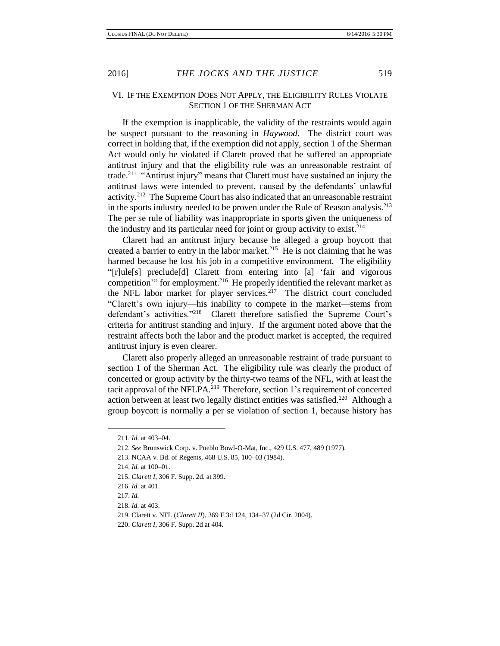## VI. IF THE EXEMPTION DOES NOT APPLY, THE ELIGIBILITY RULES VIOLATE SECTION 1 OF THE SHERMAN ACT

If the exemption is inapplicable, the validity of the restraints would again be suspect pursuant to the reasoning in *Haywood*. The district court was correct in holding that, if the exemption did not apply, section 1 of the Sherman Act would only be violated if Clarett proved that he suffered an appropriate antitrust injury and that the eligibility rule was an unreasonable restraint of trade.<sup>211</sup> "Antirust injury" means that Clarett must have sustained an injury the antitrust laws were intended to prevent, caused by the defendants' unlawful activity.<sup>212</sup> The Supreme Court has also indicated that an unreasonable restraint in the sports industry needed to be proven under the Rule of Reason analysis.<sup>213</sup> The per se rule of liability was inappropriate in sports given the uniqueness of the industry and its particular need for joint or group activity to exist.<sup>214</sup>

Clarett had an antitrust injury because he alleged a group boycott that created a barrier to entry in the labor market. $215$  He is not claiming that he was harmed because he lost his job in a competitive environment. The eligibility "[r]ule[s] preclude[d] Clarett from entering into [a] 'fair and vigorous competition'" for employment.<sup>216</sup> He properly identified the relevant market as the NFL labor market for player services.<sup>217</sup> The district court concluded "Clarett's own injury—his inability to compete in the market—stems from defendant's activities."<sup>218</sup> Clarett therefore satisfied the Supreme Court's criteria for antitrust standing and injury. If the argument noted above that the restraint affects both the labor and the product market is accepted, the required antitrust injury is even clearer.

Clarett also properly alleged an unreasonable restraint of trade pursuant to section 1 of the Sherman Act. The eligibility rule was clearly the product of concerted or group activity by the thirty-two teams of the NFL, with at least the tacit approval of the NFLPA.<sup>219</sup> Therefore, section 1's requirement of concerted action between at least two legally distinct entities was satisfied.<sup>220</sup> Although a group boycott is normally a per se violation of section 1, because history has

<sup>211.</sup> *Id.* at 403–04.

<sup>212.</sup> *See* Brunswick Corp. v. Pueblo Bowl-O-Mat, Inc., 429 U.S. 477, 489 (1977).

<sup>213.</sup> NCAA v. Bd. of Regents, 468 U.S. 85, 100–03 (1984).

<sup>214.</sup> *Id.* at 100–01.

<sup>215.</sup> *Clarett I*, 306 F. Supp. 2d. at 399.

<sup>216.</sup> *Id.* at 401.

<sup>217.</sup> *Id.*

<sup>218.</sup> *Id.* at 403.

<sup>219.</sup> Clarett v. NFL (*Clarett II*), 369 F.3d 124, 134–37 (2d Cir. 2004).

<sup>220.</sup> *Clarett I*, 306 F. Supp. 2d at 404.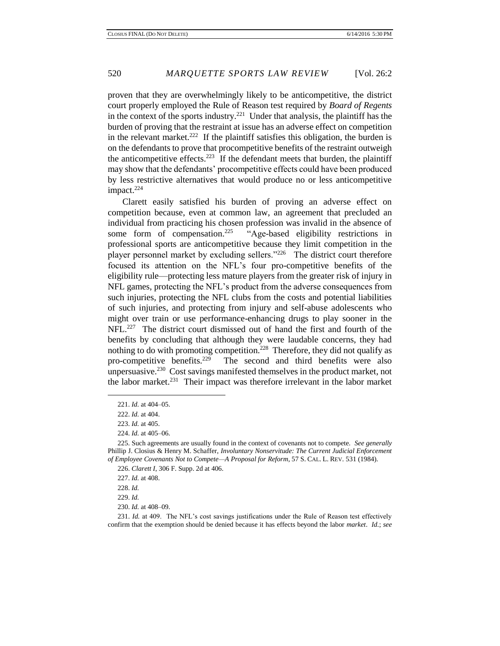proven that they are overwhelmingly likely to be anticompetitive, the district court properly employed the Rule of Reason test required by *Board of Regents*  in the context of the sports industry.<sup>221</sup> Under that analysis, the plaintiff has the burden of proving that the restraint at issue has an adverse effect on competition in the relevant market.<sup>222</sup> If the plaintiff satisfies this obligation, the burden is on the defendants to prove that procompetitive benefits of the restraint outweigh the anticompetitive effects.<sup>223</sup> If the defendant meets that burden, the plaintiff may show that the defendants' procompetitive effects could have been produced by less restrictive alternatives that would produce no or less anticompetitive impact. $224$ 

Clarett easily satisfied his burden of proving an adverse effect on competition because, even at common law, an agreement that precluded an individual from practicing his chosen profession was invalid in the absence of some form of compensation. $225$  "Age-based eligibility restrictions in professional sports are anticompetitive because they limit competition in the player personnel market by excluding sellers."<sup>226</sup> The district court therefore focused its attention on the NFL's four pro-competitive benefits of the eligibility rule—protecting less mature players from the greater risk of injury in NFL games, protecting the NFL's product from the adverse consequences from such injuries, protecting the NFL clubs from the costs and potential liabilities of such injuries, and protecting from injury and self-abuse adolescents who might over train or use performance-enhancing drugs to play sooner in the NFL.<sup>227</sup> The district court dismissed out of hand the first and fourth of the benefits by concluding that although they were laudable concerns, they had nothing to do with promoting competition.<sup>228</sup> Therefore, they did not qualify as pro-competitive benefits. $229$  The second and third benefits were also unpersuasive.<sup>230</sup> Cost savings manifested themselves in the product market, not the labor market.<sup>231</sup> Their impact was therefore irrelevant in the labor market

 $\overline{\phantom{a}}$ 

230. *Id.* at 408–09.

231. *Id.* at 409. The NFL's cost savings justifications under the Rule of Reason test effectively confirm that the exemption should be denied because it has effects beyond the labor *market*. *Id.*; *see* 

<sup>221.</sup> *Id.* at 404–05.

<sup>222.</sup> *Id.* at 404.

<sup>223.</sup> *Id.* at 405.

<sup>224.</sup> *Id.* at 405–06.

<sup>225.</sup> Such agreements are usually found in the context of covenants not to compete. *See generally*  Phillip J. Closius & Henry M. Schaffer, *Involuntary Nonservitude: The Current Judicial Enforcement of Employee Covenants Not to Compete—A Proposal for Reform*, 57 S. CAL. L. REV. 531 (1984).

<sup>226.</sup> *Clarett I*, 306 F. Supp. 2d at 406.

<sup>227.</sup> *Id.* at 408.

<sup>228.</sup> *Id.*

<sup>229.</sup> *Id.*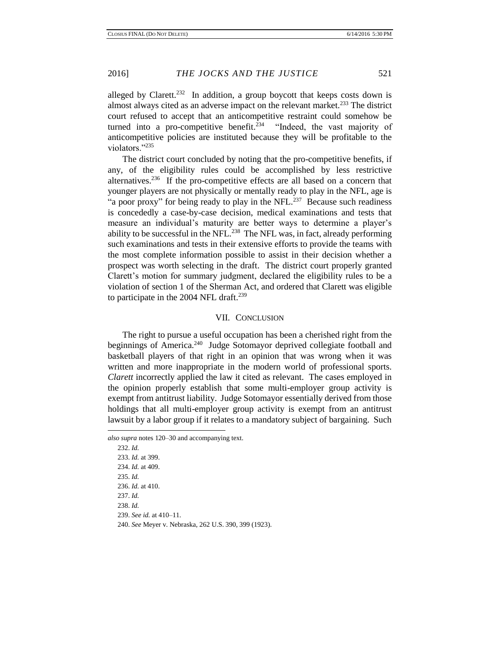alleged by Clarett.<sup>232</sup> In addition, a group boycott that keeps costs down is almost always cited as an adverse impact on the relevant market.<sup>233</sup> The district court refused to accept that an anticompetitive restraint could somehow be turned into a pro-competitive benefit.<sup>234</sup> "Indeed, the vast majority of anticompetitive policies are instituted because they will be profitable to the violators."<sup>235</sup>

The district court concluded by noting that the pro-competitive benefits, if any, of the eligibility rules could be accomplished by less restrictive alternatives.<sup>236</sup> If the pro-competitive effects are all based on a concern that younger players are not physically or mentally ready to play in the NFL, age is "a poor proxy" for being ready to play in the NFL. $^{237}$  Because such readiness is concededly a case-by-case decision, medical examinations and tests that measure an individual's maturity are better ways to determine a player's ability to be successful in the NFL.<sup>238</sup> The NFL was, in fact, already performing such examinations and tests in their extensive efforts to provide the teams with the most complete information possible to assist in their decision whether a prospect was worth selecting in the draft. The district court properly granted Clarett's motion for summary judgment, declared the eligibility rules to be a violation of section 1 of the Sherman Act, and ordered that Clarett was eligible to participate in the 2004 NFL draft. $239$ 

#### VII. CONCLUSION

The right to pursue a useful occupation has been a cherished right from the beginnings of America.<sup>240</sup> Judge Sotomayor deprived collegiate football and basketball players of that right in an opinion that was wrong when it was written and more inappropriate in the modern world of professional sports. *Clarett* incorrectly applied the law it cited as relevant. The cases employed in the opinion properly establish that some multi-employer group activity is exempt from antitrust liability. Judge Sotomayor essentially derived from those holdings that all multi-employer group activity is exempt from an antitrust lawsuit by a labor group if it relates to a mandatory subject of bargaining. Such

 $\overline{\phantom{a}}$ 

232. *Id.*  233. *Id.* at 399. 234. *Id.* at 409. 235. *Id.* 236. *Id.* at 410. 237. *Id.*  238. *Id.* 239. *See id.* at 410–11. 240. *See* Meyer v. Nebraska, 262 U.S. 390, 399 (1923).

*also supra* notes 120–30 and accompanying text.